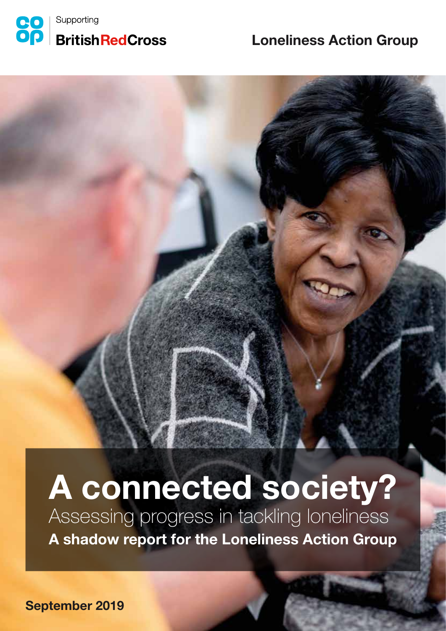

#### Loneliness Action Group

# A connected society?

Assessing progress in tackling loneliness A shadow report for the Loneliness Action Group

September 2019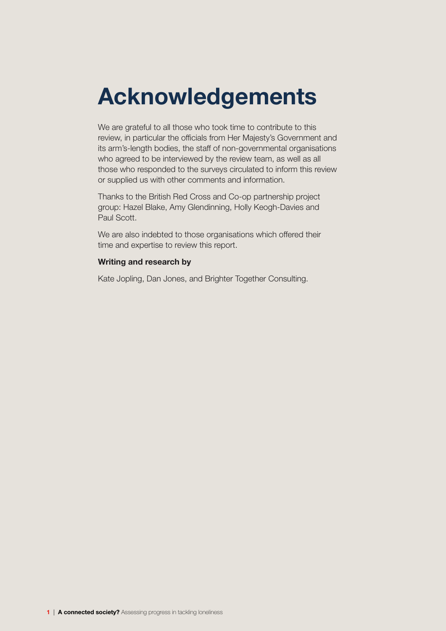## Acknowledgements

We are grateful to all those who took time to contribute to this review, in particular the officials from Her Majesty's Government and its arm's-length bodies, the staff of non-governmental organisations who agreed to be interviewed by the review team, as well as all those who responded to the surveys circulated to inform this review or supplied us with other comments and information.

Thanks to the British Red Cross and Co-op partnership project group: Hazel Blake, Amy Glendinning, Holly Keogh-Davies and Paul Scott.

We are also indebted to those organisations which offered their time and expertise to review this report.

#### Writing and research by

Kate Jopling, Dan Jones, and Brighter Together Consulting.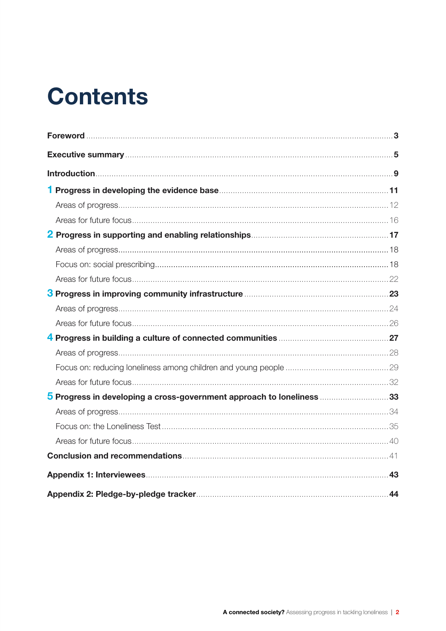## **Contents**

| 3 Progress in improving community infrastructure <b>Manufatility</b> 23 |  |
|-------------------------------------------------------------------------|--|
|                                                                         |  |
|                                                                         |  |
|                                                                         |  |
|                                                                         |  |
|                                                                         |  |
|                                                                         |  |
|                                                                         |  |
|                                                                         |  |
|                                                                         |  |
|                                                                         |  |
|                                                                         |  |
|                                                                         |  |
|                                                                         |  |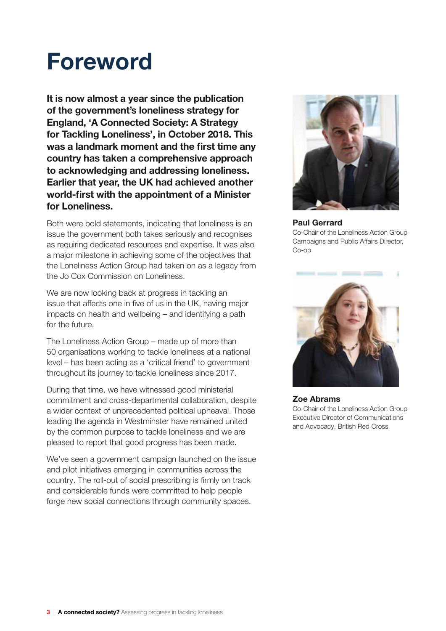### Foreword

It is now almost a year since the publication of the government's loneliness strategy for England, 'A Connected Society: A Strategy for Tackling Loneliness', in October 2018. This was a landmark moment and the first time any country has taken a comprehensive approach to acknowledging and addressing loneliness. Earlier that year, the UK had achieved another world-first with the appointment of a Minister for Loneliness.

Both were bold statements, indicating that loneliness is an issue the government both takes seriously and recognises as requiring dedicated resources and expertise. It was also a major milestone in achieving some of the objectives that the Loneliness Action Group had taken on as a legacy from the Jo Cox Commission on Loneliness.

We are now looking back at progress in tackling an issue that affects one in five of us in the UK, having major impacts on health and wellbeing – and identifying a path for the future.

The Loneliness Action Group – made up of more than 50 organisations working to tackle loneliness at a national level – has been acting as a 'critical friend' to government throughout its journey to tackle loneliness since 2017.

During that time, we have witnessed good ministerial commitment and cross-departmental collaboration, despite a wider context of unprecedented political upheaval. Those leading the agenda in Westminster have remained united by the common purpose to tackle loneliness and we are pleased to report that good progress has been made.

We've seen a government campaign launched on the issue and pilot initiatives emerging in communities across the country. The roll-out of social prescribing is firmly on track and considerable funds were committed to help people forge new social connections through community spaces.



Paul Gerrard Co-Chair of the Loneliness Action Group Campaigns and Public Affairs Director,

Co-op



Zoe Abrams Co-Chair of the Loneliness Action Group Executive Director of Communications and Advocacy, British Red Cross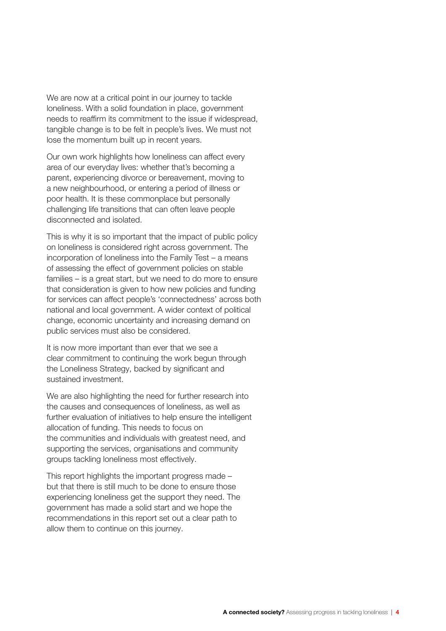We are now at a critical point in our journey to tackle loneliness. With a solid foundation in place, government needs to reaffirm its commitment to the issue if widespread, tangible change is to be felt in people's lives. We must not lose the momentum built up in recent years.

Our own work highlights how loneliness can affect every area of our everyday lives: whether that's becoming a parent, experiencing divorce or bereavement, moving to a new neighbourhood, or entering a period of illness or poor health. It is these commonplace but personally challenging life transitions that can often leave people disconnected and isolated.

This is why it is so important that the impact of public policy on loneliness is considered right across government. The incorporation of loneliness into the Family Test – a means of assessing the effect of government policies on stable families – is a great start, but we need to do more to ensure that consideration is given to how new policies and funding for services can affect people's 'connectedness' across both national and local government. A wider context of political change, economic uncertainty and increasing demand on public services must also be considered.

It is now more important than ever that we see a clear commitment to continuing the work begun through the Loneliness Strategy, backed by significant and sustained investment.

We are also highlighting the need for further research into the causes and consequences of loneliness, as well as further evaluation of initiatives to help ensure the intelligent allocation of funding. This needs to focus on the communities and individuals with greatest need, and supporting the services, organisations and community groups tackling loneliness most effectively.

This report highlights the important progress made – but that there is still much to be done to ensure those experiencing loneliness get the support they need. The government has made a solid start and we hope the recommendations in this report set out a clear path to allow them to continue on this journey.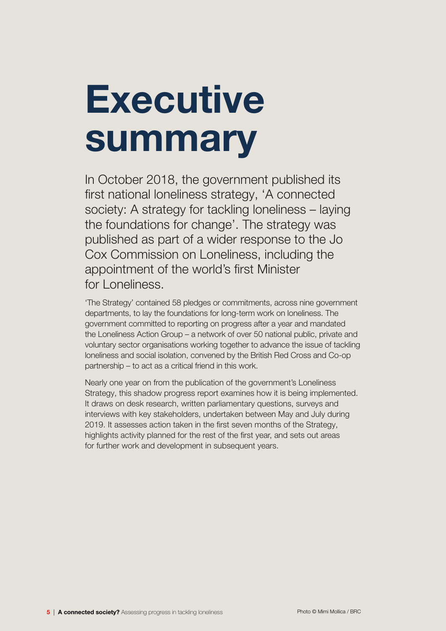# **Executive** summary

In October 2018, the government published its first national loneliness strategy, 'A connected society: A strategy for tackling loneliness – laying the foundations for change'. The strategy was published as part of a wider response to the Jo Cox Commission on Loneliness, including the appointment of the world's first Minister for Loneliness

'The Strategy' contained 58 pledges or commitments, across nine government departments, to lay the foundations for long-term work on loneliness. The government committed to reporting on progress after a year and mandated the Loneliness Action Group – a network of over 50 national public, private and voluntary sector organisations working together to advance the issue of tackling loneliness and social isolation, convened by the British Red Cross and Co-op partnership – to act as a critical friend in this work.

Nearly one year on from the publication of the government's Loneliness Strategy, this shadow progress report examines how it is being implemented. It draws on desk research, written parliamentary questions, surveys and interviews with key stakeholders, undertaken between May and July during 2019. It assesses action taken in the first seven months of the Strategy, highlights activity planned for the rest of the first year, and sets out areas for further work and development in subsequent years.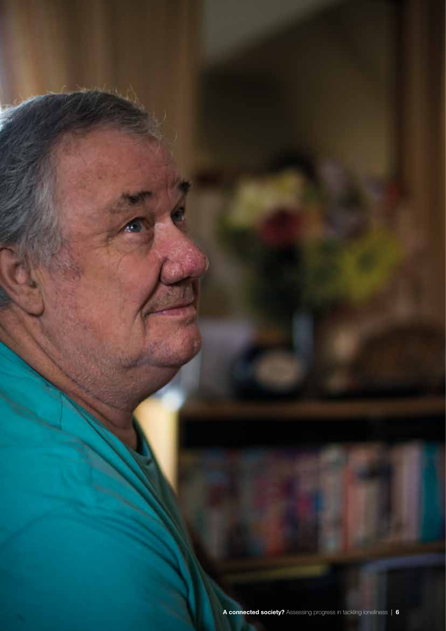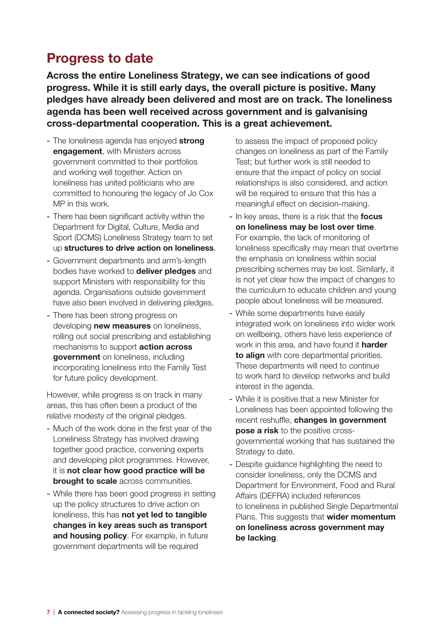#### Progress to date

Across the entire Loneliness Strategy, we can see indications of good progress. While it is still early days, the overall picture is positive. Many pledges have already been delivered and most are on track. The loneliness agenda has been well received across government and is galvanising cross-departmental cooperation. This is a great achievement.

- The loneliness agenda has enjoyed **strong** engagement, with Ministers across government committed to their portfolios and working well together. Action on loneliness has united politicians who are committed to honouring the legacy of Jo Cox MP in this work.
- There has been significant activity within the Department for Digital, Culture, Media and Sport (DCMS) Loneliness Strategy team to set up structures to drive action on loneliness.
- Government departments and arm's-length bodies have worked to deliver pledges and support Ministers with responsibility for this agenda. Organisations outside government have also been involved in delivering pledges.
- There has been strong progress on developing **new measures** on loneliness. rolling out social prescribing and establishing mechanisms to support **action across** government on loneliness, including incorporating loneliness into the Family Test for future policy development.

However, while progress is on track in many areas, this has often been a product of the relative modesty of the original pledges.

- Much of the work done in the first year of the Loneliness Strategy has involved drawing together good practice, convening experts and developing pilot programmes. However, it is not clear how good practice will be **brought to scale** across communities.
- While there has been good progress in setting up the policy structures to drive action on loneliness, this has not yet led to tangible changes in key areas such as transport and housing policy. For example, in future government departments will be required

to assess the impact of proposed policy changes on loneliness as part of the Family Test; but further work is still needed to ensure that the impact of policy on social relationships is also considered, and action will be required to ensure that this has a meaningful effect on decision-making.

- In key areas, there is a risk that the **focus** on loneliness may be lost over time. For example, the lack of monitoring of loneliness specifically may mean that overtime the emphasis on loneliness within social prescribing schemes may be lost. Similarly, it is not yet clear how the impact of changes to the curriculum to educate children and young people about loneliness will be measured.
- While some departments have easily integrated work on loneliness into wider work on wellbeing, others have less experience of work in this area, and have found it **harder** to align with core departmental priorities. These departments will need to continue to work hard to develop networks and build interest in the agenda.
- While it is positive that a new Minister for Loneliness has been appointed following the recent reshuffle, changes in government **pose a risk** to the positive crossgovernmental working that has sustained the Strategy to date.
- Despite guidance highlighting the need to consider loneliness, only the DCMS and Department for Environment, Food and Rural Affairs (DEFRA) included references to loneliness in published Single Departmental Plans. This suggests that wider momentum on loneliness across government may be lacking.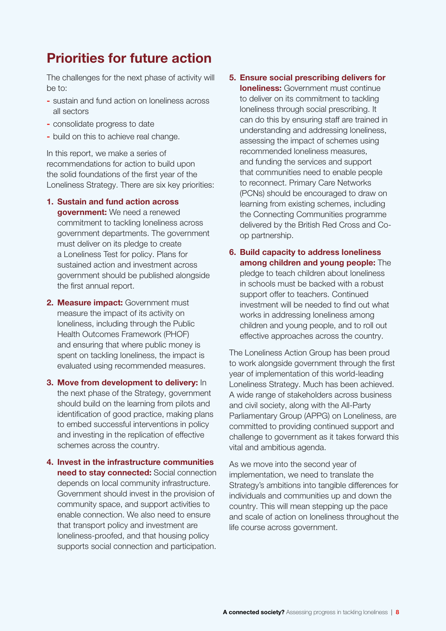#### Priorities for future action

The challenges for the next phase of activity will be to:

- sustain and fund action on loneliness across all sectors
- consolidate progress to date
- build on this to achieve real change.

In this report, we make a series of recommendations for action to build upon the solid foundations of the first year of the Loneliness Strategy. There are six key priorities:

- 1. Sustain and fund action across **government:** We need a renewed commitment to tackling loneliness across government departments. The government must deliver on its pledge to create a Loneliness Test for policy. Plans for sustained action and investment across government should be published alongside the first annual report.
- 2. Measure impact: Government must measure the impact of its activity on loneliness, including through the Public Health Outcomes Framework (PHOF) and ensuring that where public money is spent on tackling loneliness, the impact is evaluated using recommended measures.
- 3. Move from development to delivery: In the next phase of the Strategy, government should build on the learning from pilots and identification of good practice, making plans to embed successful interventions in policy and investing in the replication of effective schemes across the country.
- 4. Invest in the infrastructure communities need to stay connected: Social connection depends on local community infrastructure. Government should invest in the provision of community space, and support activities to enable connection. We also need to ensure that transport policy and investment are loneliness-proofed, and that housing policy supports social connection and participation.

#### 5. Ensure social prescribing delivers for loneliness: Government must continue to deliver on its commitment to tackling loneliness through social prescribing. It can do this by ensuring staff are trained in understanding and addressing loneliness, assessing the impact of schemes using recommended loneliness measures, and funding the services and support that communities need to enable people to reconnect. Primary Care Networks (PCNs) should be encouraged to draw on learning from existing schemes, including the Connecting Communities programme delivered by the British Red Cross and Coop partnership.

6. Build capacity to address loneliness among children and young people: The pledge to teach children about loneliness in schools must be backed with a robust support offer to teachers. Continued investment will be needed to find out what works in addressing loneliness among children and young people, and to roll out effective approaches across the country.

The Loneliness Action Group has been proud to work alongside government through the first year of implementation of this world-leading Loneliness Strategy. Much has been achieved. A wide range of stakeholders across business and civil society, along with the All-Party Parliamentary Group (APPG) on Loneliness, are committed to providing continued support and challenge to government as it takes forward this vital and ambitious agenda.

As we move into the second year of implementation, we need to translate the Strategy's ambitions into tangible differences for individuals and communities up and down the country. This will mean stepping up the pace and scale of action on loneliness throughout the life course across government.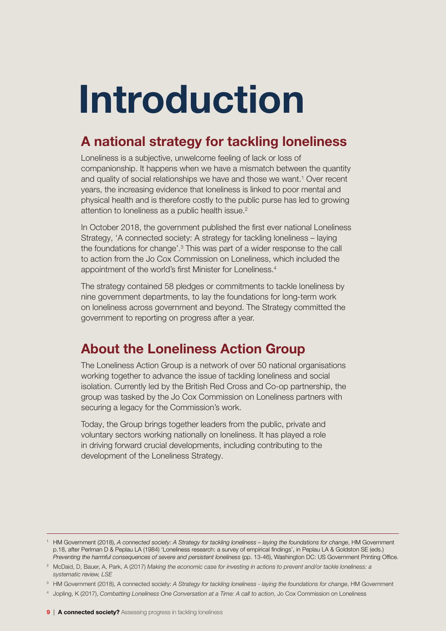# Introduction

#### A national strategy for tackling loneliness

Loneliness is a subjective, unwelcome feeling of lack or loss of companionship. It happens when we have a mismatch between the quantity and quality of social relationships we have and those we want.<sup>1</sup> Over recent years, the increasing evidence that loneliness is linked to poor mental and physical health and is therefore costly to the public purse has led to growing attention to loneliness as a public health issue. $2$ 

In October 2018, the government published the first ever national Loneliness Strategy, 'A connected society: A strategy for tackling loneliness – laying the foundations for change'.<sup>3</sup> This was part of a wider response to the call to action from the Jo Cox Commission on Loneliness, which included the appointment of the world's first Minister for Loneliness.<sup>4</sup>

The strategy contained 58 pledges or commitments to tackle loneliness by nine government departments, to lay the foundations for long-term work on loneliness across government and beyond. The Strategy committed the government to reporting on progress after a year.

#### About the Loneliness Action Group

The Loneliness Action Group is a network of over 50 national organisations working together to advance the issue of tackling loneliness and social isolation. Currently led by the British Red Cross and Co-op partnership, the group was tasked by the Jo Cox Commission on Loneliness partners with securing a legacy for the Commission's work.

Today, the Group brings together leaders from the public, private and voluntary sectors working nationally on loneliness. It has played a role in driving forward crucial developments, including contributing to the development of the Loneliness Strategy.

<sup>4</sup> Jopling, K (2017), Combatting Loneliness One Conversation at a Time: A call to action, Jo Cox Commission on Loneliness

<sup>&</sup>lt;sup>1</sup> HM Government (2018), A connected society: A Strategy for tackling loneliness – laying the foundations for change, HM Government p.18, after Perlman D & Peplau LA (1984) 'Loneliness research: a survey of empirical findings', in Peplau LA & Goldston SE (eds.) Preventing the harmful consequences of severe and persistent loneliness (pp. 13-46), Washington DC: US Government Printing Office.

<sup>&</sup>lt;sup>2</sup> McDaid, D, Bauer, A, Park, A (2017) Making the economic case for investing in actions to prevent and/or tackle loneliness: a systematic review, LSE

<sup>&</sup>lt;sup>3</sup> HM Government (2018), A connected society: A Strategy for tackling loneliness - laying the foundations for change, HM Government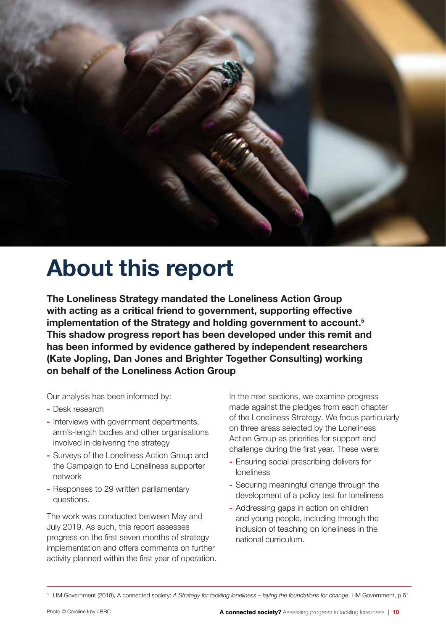

## About this report

The Loneliness Strategy mandated the Loneliness Action Group with acting as a critical friend to government, supporting effective implementation of the Strategy and holding government to account.<sup>5</sup> This shadow progress report has been developed under this remit and has been informed by evidence gathered by independent researchers (Kate Jopling, Dan Jones and Brighter Together Consulting) working on behalf of the Loneliness Action Group

Our analysis has been informed by:

- Desk research
- Interviews with government departments, arm's-length bodies and other organisations involved in delivering the strategy
- Surveys of the Loneliness Action Group and the Campaign to End Loneliness supporter network
- Responses to 29 written parliamentary questions.

The work was conducted between May and July 2019. As such, this report assesses progress on the first seven months of strategy implementation and offers comments on further activity planned within the first year of operation. In the next sections, we examine progress made against the pledges from each chapter of the Loneliness Strategy. We focus particularly on three areas selected by the Loneliness Action Group as priorities for support and challenge during the first year. These were:

- Ensuring social prescribing delivers for loneliness
- Securing meaningful change through the development of a policy test for loneliness
- Addressing gaps in action on children and young people, including through the inclusion of teaching on loneliness in the national curriculum.

<sup>&</sup>lt;sup>5</sup> HM Government (2018), A connected society: A Strategy for tackling loneliness – laying the foundations for change, HM Government, p.61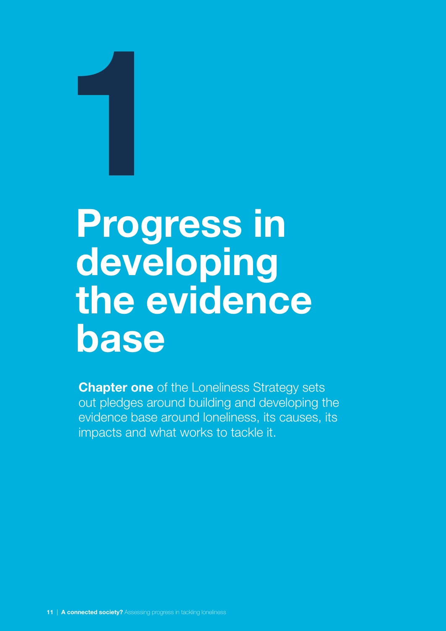# 1

# Progress in developing the evidence base

**Chapter one** of the Loneliness Strategy sets out pledges around building and developing the evidence base around loneliness, its causes, its impacts and what works to tackle it.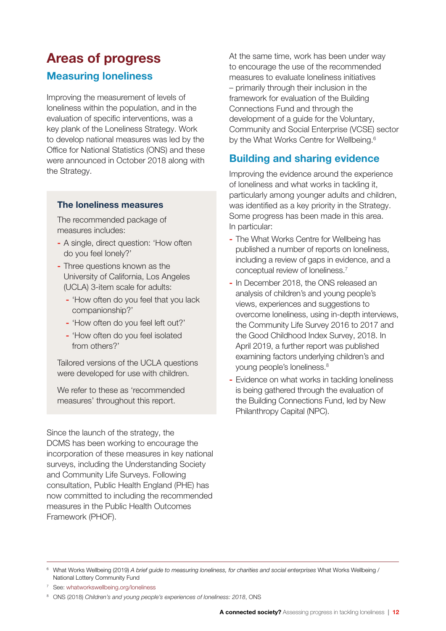#### Areas of progress

#### Measuring loneliness

Improving the measurement of levels of loneliness within the population, and in the evaluation of specific interventions, was a key plank of the Loneliness Strategy. Work to develop national measures was led by the Office for National Statistics (ONS) and these were announced in October 2018 along with the Strategy.

#### The loneliness measures

The recommended package of measures includes:

- A single, direct question: 'How often do you feel lonely?'
- Three questions known as the University of California, Los Angeles (UCLA) 3-item scale for adults:
	- 'How often do you feel that you lack companionship?'
	- 'How often do you feel left out?'
	- 'How often do you feel isolated from others?'

Tailored versions of the UCLA questions were developed for use with children.

We refer to these as 'recommended measures' throughout this report.

Since the launch of the strategy, the DCMS has been working to encourage the incorporation of these measures in key national surveys, including the Understanding Society and Community Life Surveys. Following consultation, Public Health England (PHE) has now committed to including the recommended measures in the Public Health Outcomes Framework (PHOF).

At the same time, work has been under way to encourage the use of the recommended measures to evaluate loneliness initiatives – primarily through their inclusion in the framework for evaluation of the Building Connections Fund and through the development of a guide for the Voluntary, Community and Social Enterprise (VCSE) sector by the What Works Centre for Wellbeing.<sup>6</sup>

#### Building and sharing evidence

Improving the evidence around the experience of loneliness and what works in tackling it, particularly among younger adults and children, was identified as a key priority in the Strategy. Some progress has been made in this area. In particular:

- The What Works Centre for Wellbeing has published a number of reports on loneliness, including a review of gaps in evidence, and a conceptual review of loneliness.7
- In December 2018, the ONS released an analysis of children's and young people's views, experiences and suggestions to overcome loneliness, using in-depth interviews, the Community Life Survey 2016 to 2017 and the Good Childhood Index Survey, 2018. In April 2019, a further report was published examining factors underlying children's and young people's loneliness.8
- Evidence on what works in tackling loneliness is being gathered through the evaluation of the Building Connections Fund, led by New Philanthropy Capital (NPC).

What Works Wellbeing (2019) A brief guide to measuring loneliness, for charities and social enterprises What Works Wellbeing / National Lottery Community Fund

<sup>7</sup> See: whatworkswellbeing.org/loneliness

<sup>8</sup> ONS (2018) Children's and young people's experiences of loneliness: 2018, ONS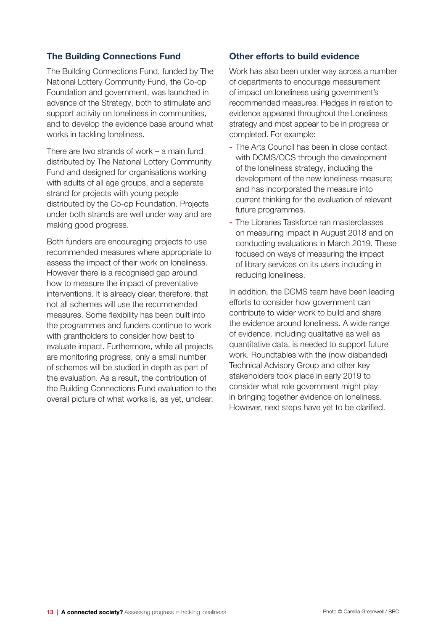#### The Building Connections Fund

The Building Connections Fund, funded by The National Lottery Community Fund, the Co-op Foundation and government, was launched in advance of the Strategy, both to stimulate and support activity on loneliness in communities, and to develop the evidence base around what works in tackling loneliness.

There are two strands of work – a main fund distributed by The National Lottery Community Fund and designed for organisations working with adults of all age groups, and a separate strand for projects with young people distributed by the Co-op Foundation. Projects under both strands are well under way and are making good progress.

Both funders are encouraging projects to use recommended measures where appropriate to assess the impact of their work on loneliness. However there is a recognised gap around how to measure the impact of preventative interventions. It is already clear, therefore, that not all schemes will use the recommended measures. Some flexibility has been built into the programmes and funders continue to work with grantholders to consider how best to evaluate impact. Furthermore, while all projects are monitoring progress, only a small number of schemes will be studied in depth as part of the evaluation. As a result, the contribution of the Building Connections Fund evaluation to the overall picture of what works is, as yet, unclear.

#### Other efforts to build evidence

Work has also been under way across a number of departments to encourage measurement of impact on loneliness using government's recommended measures. Pledges in relation to evidence appeared throughout the Loneliness strategy and most appear to be in progress or completed. For example:

- The Arts Council has been in close contact with DCMS/OCS through the development of the loneliness strategy, including the development of the new loneliness measure; and has incorporated the measure into current thinking for the evaluation of relevant future programmes.
- The Libraries Taskforce ran masterclasses on measuring impact in August 2018 and on conducting evaluations in March 2019. These focused on ways of measuring the impact of library services on its users including in reducing loneliness.

In addition, the DCMS team have been leading efforts to consider how government can contribute to wider work to build and share the evidence around loneliness. A wide range of evidence, including qualitative as well as quantitative data, is needed to support future work. Roundtables with the (now disbanded) Technical Advisory Group and other key stakeholders took place in early 2019 to consider what role government might play in bringing together evidence on loneliness. However, next steps have yet to be clarified.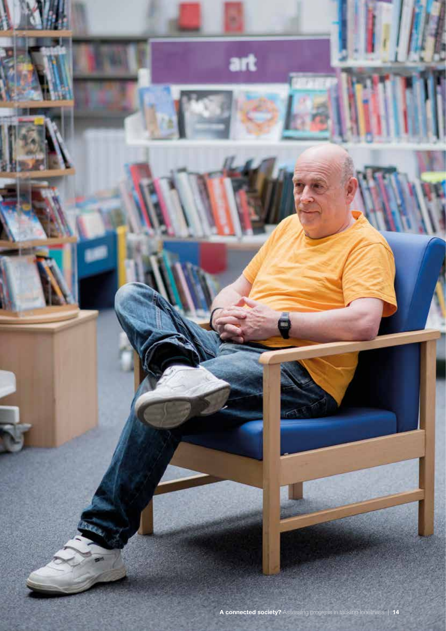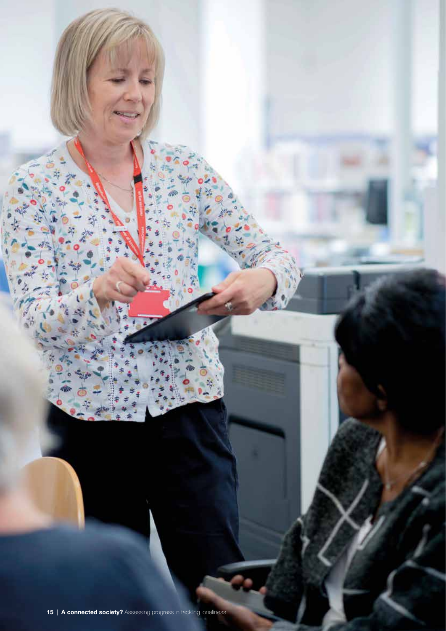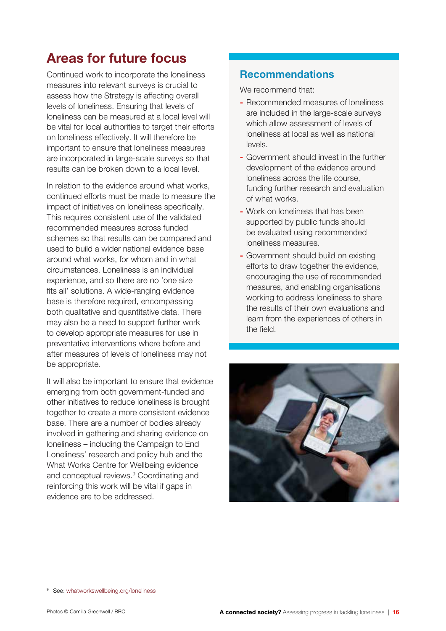#### Areas for future focus

Continued work to incorporate the loneliness measures into relevant surveys is crucial to assess how the Strategy is affecting overall levels of loneliness. Ensuring that levels of loneliness can be measured at a local level will be vital for local authorities to target their efforts on loneliness effectively. It will therefore be important to ensure that loneliness measures are incorporated in large-scale surveys so that results can be broken down to a local level.

In relation to the evidence around what works, continued efforts must be made to measure the impact of initiatives on loneliness specifically. This requires consistent use of the validated recommended measures across funded schemes so that results can be compared and used to build a wider national evidence base around what works, for whom and in what circumstances. Loneliness is an individual experience, and so there are no 'one size fits all' solutions. A wide-ranging evidence base is therefore required, encompassing both qualitative and quantitative data. There may also be a need to support further work to develop appropriate measures for use in preventative interventions where before and after measures of levels of loneliness may not be appropriate.

It will also be important to ensure that evidence emerging from both government-funded and other initiatives to reduce loneliness is brought together to create a more consistent evidence base. There are a number of bodies already involved in gathering and sharing evidence on loneliness – including the Campaign to End Loneliness' research and policy hub and the What Works Centre for Wellbeing evidence and conceptual reviews.<sup>9</sup> Coordinating and reinforcing this work will be vital if gaps in evidence are to be addressed.

#### Recommendations

We recommend that:

- Recommended measures of loneliness are included in the large-scale surveys which allow assessment of levels of loneliness at local as well as national levels.
- Government should invest in the further development of the evidence around loneliness across the life course, funding further research and evaluation of what works.
- Work on loneliness that has been supported by public funds should be evaluated using recommended loneliness measures.
- Government should build on existing efforts to draw together the evidence, encouraging the use of recommended measures, and enabling organisations working to address loneliness to share the results of their own evaluations and learn from the experiences of others in the field.



<sup>&</sup>lt;sup>9</sup> See: whatworkswellbeing.org/loneliness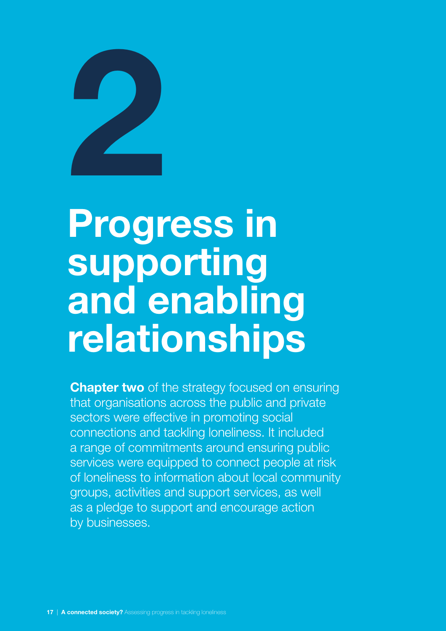2

# Progress in supporting and enabling relationships

**Chapter two** of the strategy focused on ensuring that organisations across the public and private sectors were effective in promoting social connections and tackling loneliness. It included a range of commitments around ensuring public services were equipped to connect people at risk of loneliness to information about local community groups, activities and support services, as well as a pledge to support and encourage action by businesses.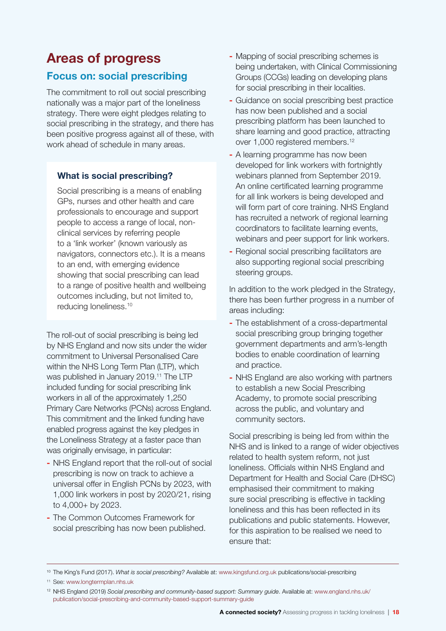#### Areas of progress

#### Focus on: social prescribing

The commitment to roll out social prescribing nationally was a major part of the loneliness strategy. There were eight pledges relating to social prescribing in the strategy, and there has been positive progress against all of these, with work ahead of schedule in many areas.

#### What is social prescribing?

Social prescribing is a means of enabling GPs, nurses and other health and care professionals to encourage and support people to access a range of local, nonclinical services by referring people to a 'link worker' (known variously as navigators, connectors etc.). It is a means to an end, with emerging evidence showing that social prescribing can lead to a range of positive health and wellbeing outcomes including, but not limited to, reducing loneliness.10

The roll-out of social prescribing is being led by NHS England and now sits under the wider commitment to Universal Personalised Care within the NHS Long Term Plan (LTP), which was published in January 2019.11 The LTP included funding for social prescribing link workers in all of the approximately 1,250 Primary Care Networks (PCNs) across England. This commitment and the linked funding have enabled progress against the key pledges in the Loneliness Strategy at a faster pace than was originally envisage, in particular:

- NHS England report that the roll-out of social prescribing is now on track to achieve a universal offer in English PCNs by 2023, with 1,000 link workers in post by 2020/21, rising to 4,000+ by 2023.
- The Common Outcomes Framework for social prescribing has now been published.
- Mapping of social prescribing schemes is being undertaken, with Clinical Commissioning Groups (CCGs) leading on developing plans for social prescribing in their localities.
- Guidance on social prescribing best practice has now been published and a social prescribing platform has been launched to share learning and good practice, attracting over 1,000 registered members.12
- A learning programme has now been developed for link workers with fortnightly webinars planned from September 2019. An online certificated learning programme for all link workers is being developed and will form part of core training. NHS England has recruited a network of regional learning coordinators to facilitate learning events, webinars and peer support for link workers.
- Regional social prescribing facilitators are also supporting regional social prescribing steering groups.

In addition to the work pledged in the Strategy, there has been further progress in a number of areas including:

- The establishment of a cross-departmental social prescribing group bringing together government departments and arm's-length bodies to enable coordination of learning and practice.
- NHS England are also working with partners to establish a new Social Prescribing Academy, to promote social prescribing across the public, and voluntary and community sectors.

Social prescribing is being led from within the NHS and is linked to a range of wider objectives related to health system reform, not just loneliness. Officials within NHS England and Department for Health and Social Care (DHSC) emphasised their commitment to making sure social prescribing is effective in tackling loneliness and this has been reflected in its publications and public statements. However, for this aspiration to be realised we need to ensure that:

<sup>&</sup>lt;sup>10</sup> The King's Fund (2017). What is social prescribing? Available at: www.kingsfund.org.uk publications/social-prescribing

<sup>&</sup>lt;sup>11</sup> See: www.longtermplan.nhs.uk

<sup>&</sup>lt;sup>12</sup> NHS England (2019) Social prescribing and community-based support: Summary guide. Available at: www.england.nhs.uk/ publication/social-prescribing-and-community-based-support-summary-guide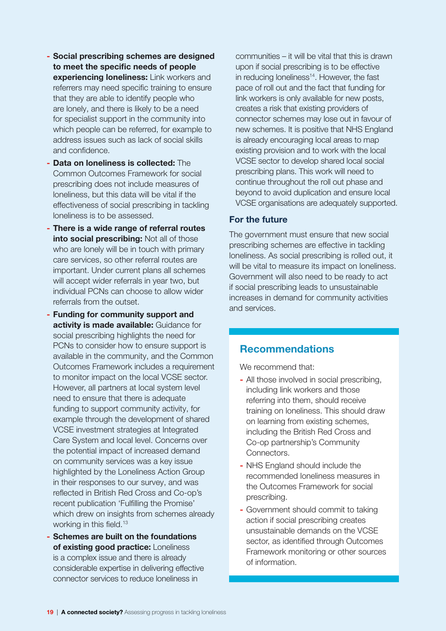- Social prescribing schemes are designed to meet the specific needs of people experiencing loneliness: Link workers and referrers may need specific training to ensure that they are able to identify people who are lonely, and there is likely to be a need for specialist support in the community into which people can be referred, for example to address issues such as lack of social skills and confidence.
- Data on loneliness is collected: The Common Outcomes Framework for social prescribing does not include measures of loneliness, but this data will be vital if the effectiveness of social prescribing in tackling loneliness is to be assessed.
- There is a wide range of referral routes into social prescribing: Not all of those who are lonely will be in touch with primary care services, so other referral routes are important. Under current plans all schemes will accept wider referrals in year two, but individual PCNs can choose to allow wider referrals from the outset.
- Funding for community support and activity is made available: Guidance for social prescribing highlights the need for PCNs to consider how to ensure support is available in the community, and the Common Outcomes Framework includes a requirement to monitor impact on the local VCSE sector. However, all partners at local system level need to ensure that there is adequate funding to support community activity, for example through the development of shared VCSE investment strategies at Integrated Care System and local level. Concerns over the potential impact of increased demand on community services was a key issue highlighted by the Loneliness Action Group in their responses to our survey, and was reflected in British Red Cross and Co-op's recent publication 'Fulfilling the Promise' which drew on insights from schemes already working in this field.<sup>13</sup>
- Schemes are built on the foundations of existing good practice: Loneliness is a complex issue and there is already considerable expertise in delivering effective connector services to reduce loneliness in

communities – it will be vital that this is drawn upon if social prescribing is to be effective in reducing loneliness<sup>14</sup>. However, the fast pace of roll out and the fact that funding for link workers is only available for new posts, creates a risk that existing providers of connector schemes may lose out in favour of new schemes. It is positive that NHS England is already encouraging local areas to map existing provision and to work with the local VCSE sector to develop shared local social prescribing plans. This work will need to continue throughout the roll out phase and beyond to avoid duplication and ensure local VCSE organisations are adequately supported.

#### For the future

The government must ensure that new social prescribing schemes are effective in tackling loneliness. As social prescribing is rolled out, it will be vital to measure its impact on loneliness. Government will also need to be ready to act if social prescribing leads to unsustainable increases in demand for community activities and services.

#### Recommendations

We recommend that:

- All those involved in social prescribing, including link workers and those referring into them, should receive training on loneliness. This should draw on learning from existing schemes, including the British Red Cross and Co-op partnership's Community **Connectors**
- NHS England should include the recommended loneliness measures in the Outcomes Framework for social prescribing.
- Government should commit to taking action if social prescribing creates unsustainable demands on the VCSE sector, as identified through Outcomes Framework monitoring or other sources of information.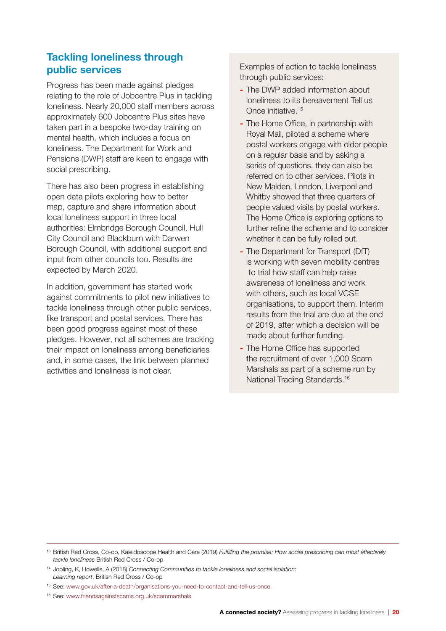#### Tackling loneliness through public services

Progress has been made against pledges relating to the role of Jobcentre Plus in tackling loneliness. Nearly 20,000 staff members across approximately 600 Jobcentre Plus sites have taken part in a bespoke two-day training on mental health, which includes a focus on loneliness. The Department for Work and Pensions (DWP) staff are keen to engage with social prescribing.

There has also been progress in establishing open data pilots exploring how to better map, capture and share information about local loneliness support in three local authorities: Elmbridge Borough Council, Hull City Council and Blackburn with Darwen Borough Council, with additional support and input from other councils too. Results are expected by March 2020.

In addition, government has started work against commitments to pilot new initiatives to tackle loneliness through other public services, like transport and postal services. There has been good progress against most of these pledges. However, not all schemes are tracking their impact on loneliness among beneficiaries and, in some cases, the link between planned activities and loneliness is not clear.

Examples of action to tackle loneliness through public services:

- The DWP added information about loneliness to its bereavement Tell us Once initiative.<sup>15</sup>
- The Home Office, in partnership with Royal Mail, piloted a scheme where postal workers engage with older people on a regular basis and by asking a series of questions, they can also be referred on to other services. Pilots in New Malden, London, Liverpool and Whitby showed that three quarters of people valued visits by postal workers. The Home Office is exploring options to further refine the scheme and to consider whether it can be fully rolled out.
- The Department for Transport (DfT) is working with seven mobility centres to trial how staff can help raise awareness of loneliness and work with others, such as local VCSF organisations, to support them. Interim results from the trial are due at the end of 2019, after which a decision will be made about further funding.
- The Home Office has supported the recruitment of over 1,000 Scam Marshals as part of a scheme run by National Trading Standards.<sup>16</sup>

<sup>13</sup> British Red Cross, Co-op, Kaleidoscope Health and Care (2019) Fulfilling the promise: How social prescribing can most effectively tackle loneliness British Red Cross / Co-op

<sup>&</sup>lt;sup>14</sup> Jopling, K, Howells, A (2018) Connecting Communities to tackle loneliness and social isolation: Learning report, British Red Cross / Co-op

<sup>15</sup> See: www.gov.uk/after-a-death/organisations-you-need-to-contact-and-tell-us-once

<sup>16</sup> See: www.friendsagainstscams.org.uk/scammarshals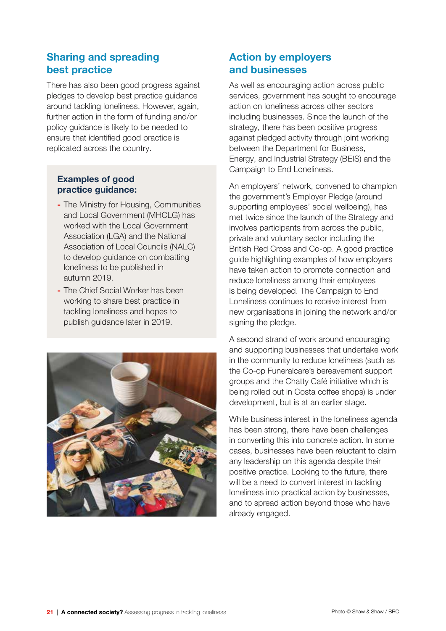#### Sharing and spreading best practice

There has also been good progress against pledges to develop best practice guidance around tackling loneliness. However, again, further action in the form of funding and/or policy guidance is likely to be needed to ensure that identified good practice is replicated across the country.

#### Examples of good practice guidance:

- The Ministry for Housing, Communities and Local Government (MHCLG) has worked with the Local Government Association (LGA) and the National Association of Local Councils (NALC) to develop guidance on combatting loneliness to be published in autumn 2019.
- The Chief Social Worker has been working to share best practice in tackling loneliness and hopes to publish guidance later in 2019.



#### Action by employers and businesses

As well as encouraging action across public services, government has sought to encourage action on loneliness across other sectors including businesses. Since the launch of the strategy, there has been positive progress against pledged activity through joint working between the Department for Business, Energy, and Industrial Strategy (BEIS) and the Campaign to End Loneliness.

An employers' network, convened to champion the government's Employer Pledge (around supporting employees' social wellbeing), has met twice since the launch of the Strategy and involves participants from across the public, private and voluntary sector including the British Red Cross and Co-op. A good practice guide highlighting examples of how employers have taken action to promote connection and reduce loneliness among their employees is being developed. The Campaign to End Loneliness continues to receive interest from new organisations in joining the network and/or signing the pledge.

A second strand of work around encouraging and supporting businesses that undertake work in the community to reduce loneliness (such as the Co-op Funeralcare's bereavement support groups and the Chatty Café initiative which is being rolled out in Costa coffee shops) is under development, but is at an earlier stage.

While business interest in the loneliness agenda has been strong, there have been challenges in converting this into concrete action. In some cases, businesses have been reluctant to claim any leadership on this agenda despite their positive practice. Looking to the future, there will be a need to convert interest in tackling loneliness into practical action by businesses, and to spread action beyond those who have already engaged.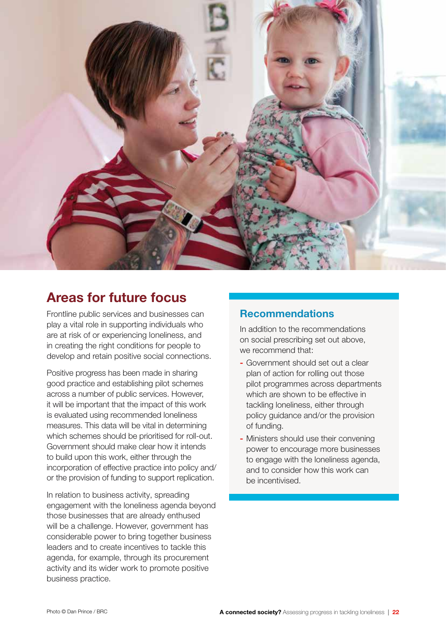

#### Areas for future focus

Frontline public services and businesses can play a vital role in supporting individuals who are at risk of or experiencing loneliness, and in creating the right conditions for people to develop and retain positive social connections.

Positive progress has been made in sharing good practice and establishing pilot schemes across a number of public services. However, it will be important that the impact of this work is evaluated using recommended loneliness measures. This data will be vital in determining which schemes should be prioritised for roll-out. Government should make clear how it intends to build upon this work, either through the incorporation of effective practice into policy and/ or the provision of funding to support replication.

In relation to business activity, spreading engagement with the loneliness agenda beyond those businesses that are already enthused will be a challenge. However, government has considerable power to bring together business leaders and to create incentives to tackle this agenda, for example, through its procurement activity and its wider work to promote positive business practice.

#### Recommendations

In addition to the recommendations on social prescribing set out above, we recommend that:

- Government should set out a clear plan of action for rolling out those pilot programmes across departments which are shown to be effective in tackling loneliness, either through policy guidance and/or the provision of funding.
- Ministers should use their convening power to encourage more businesses to engage with the loneliness agenda, and to consider how this work can be incentivised.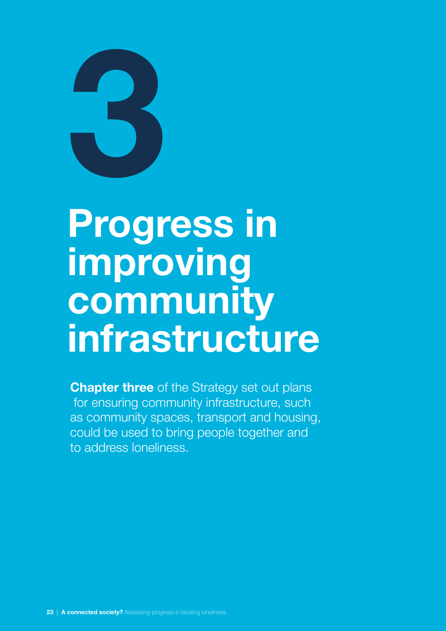# 3

# Progress in improving community infrastructure

**Chapter three** of the Strategy set out plans for ensuring community infrastructure, such as community spaces, transport and housing, could be used to bring people together and to address loneliness.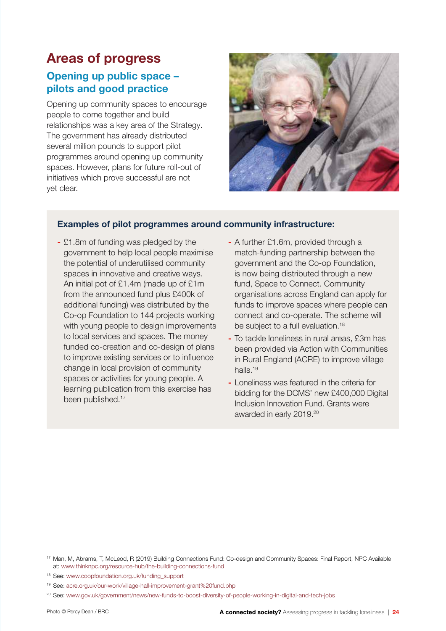#### Areas of progress

#### Opening up public space – pilots and good practice

Opening up community spaces to encourage people to come together and build relationships was a key area of the Strategy. The government has already distributed several million pounds to support pilot programmes around opening up community spaces. However, plans for future roll-out of initiatives which prove successful are not yet clear.



#### Examples of pilot programmes around community infrastructure:

- £1.8m of funding was pledged by the government to help local people maximise the potential of underutilised community spaces in innovative and creative ways. An initial pot of £1.4m (made up of £1m from the announced fund plus £400k of additional funding) was distributed by the Co-op Foundation to 144 projects working with young people to design improvements to local services and spaces. The money funded co-creation and co-design of plans to improve existing services or to influence change in local provision of community spaces or activities for young people. A learning publication from this exercise has been published.<sup>17</sup>
- A further £1.6m, provided through a match-funding partnership between the government and the Co-op Foundation, is now being distributed through a new fund, Space to Connect. Community organisations across England can apply for funds to improve spaces where people can connect and co-operate. The scheme will be subject to a full evaluation.<sup>18</sup>
- To tackle loneliness in rural areas, £3m has been provided via Action with Communities in Rural England (ACRE) to improve village halls.19
- Loneliness was featured in the criteria for bidding for the DCMS' new £400,000 Digital Inclusion Innovation Fund. Grants were awarded in early 2019.20

<sup>17</sup> Man, M, Abrams, T, McLeod, R (2019) Building Connections Fund: Co-design and Community Spaces: Final Report, NPC Available at: www.thinknpc.org/resource-hub/the-building-connections-fund

<sup>18</sup> See: www.coopfoundation.org.uk/funding\_support

<sup>19</sup> See: acre.org.uk/our-work/village-hall-improvement-grant%20fund.php

<sup>20</sup> See: www.gov.uk/government/news/new-funds-to-boost-diversity-of-people-working-in-digital-and-tech-jobs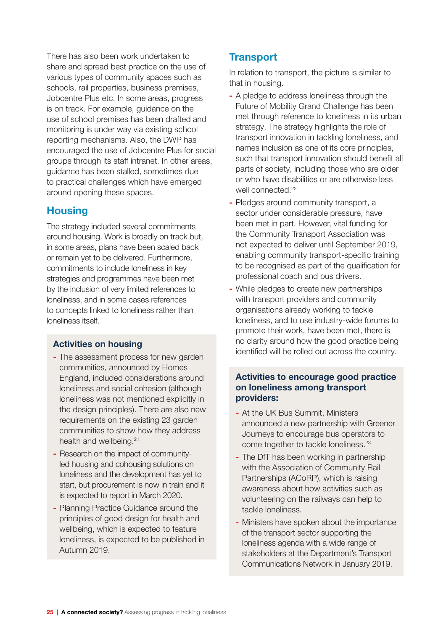There has also been work undertaken to share and spread best practice on the use of various types of community spaces such as schools, rail properties, business premises, Jobcentre Plus etc. In some areas, progress is on track. For example, guidance on the use of school premises has been drafted and monitoring is under way via existing school reporting mechanisms. Also, the DWP has encouraged the use of Jobcentre Plus for social groups through its staff intranet. In other areas, guidance has been stalled, sometimes due to practical challenges which have emerged around opening these spaces.

#### **Housing**

The strategy included several commitments around housing. Work is broadly on track but, in some areas, plans have been scaled back or remain yet to be delivered. Furthermore, commitments to include loneliness in key strategies and programmes have been met by the inclusion of very limited references to loneliness, and in some cases references to concepts linked to loneliness rather than loneliness itself.

#### Activities on housing

- The assessment process for new garden communities, announced by Homes England, included considerations around loneliness and social cohesion (although loneliness was not mentioned explicitly in the design principles). There are also new requirements on the existing 23 garden communities to show how they address health and wellbeing.<sup>21</sup>
- Research on the impact of communityled housing and cohousing solutions on loneliness and the development has yet to start, but procurement is now in train and it is expected to report in March 2020.
- Planning Practice Guidance around the principles of good design for health and wellbeing, which is expected to feature loneliness, is expected to be published in Autumn 2019.

#### **Transport**

In relation to transport, the picture is similar to that in housing.

- A pledge to address loneliness through the Future of Mobility Grand Challenge has been met through reference to loneliness in its urban strategy. The strategy highlights the role of transport innovation in tackling loneliness, and names inclusion as one of its core principles, such that transport innovation should benefit all parts of society, including those who are older or who have disabilities or are otherwise less well connected.<sup>22</sup>
- Pledges around community transport, a sector under considerable pressure, have been met in part. However, vital funding for the Community Transport Association was not expected to deliver until September 2019, enabling community transport-specific training to be recognised as part of the qualification for professional coach and bus drivers.
- While pledges to create new partnerships with transport providers and community organisations already working to tackle loneliness, and to use industry-wide forums to promote their work, have been met, there is no clarity around how the good practice being identified will be rolled out across the country.

#### Activities to encourage good practice on loneliness among transport providers:

- At the UK Bus Summit, Ministers announced a new partnership with Greener Journeys to encourage bus operators to come together to tackle loneliness.<sup>23</sup>
- The DfT has been working in partnership with the Association of Community Rail Partnerships (ACoRP), which is raising awareness about how activities such as volunteering on the railways can help to tackle loneliness.
- Ministers have spoken about the importance of the transport sector supporting the loneliness agenda with a wide range of stakeholders at the Department's Transport Communications Network in January 2019.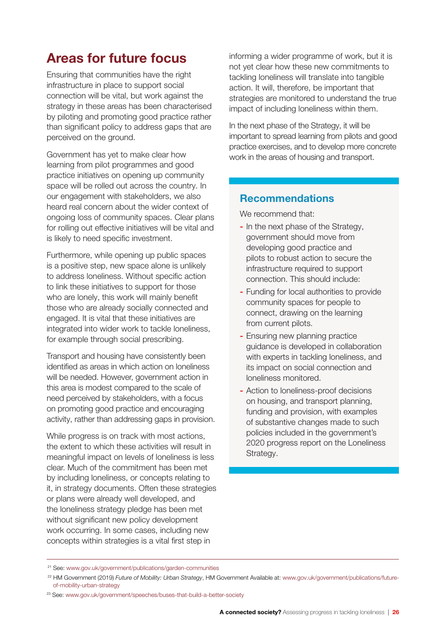#### Areas for future focus

Ensuring that communities have the right infrastructure in place to support social connection will be vital, but work against the strategy in these areas has been characterised by piloting and promoting good practice rather than significant policy to address gaps that are perceived on the ground.

Government has yet to make clear how learning from pilot programmes and good practice initiatives on opening up community space will be rolled out across the country. In our engagement with stakeholders, we also heard real concern about the wider context of ongoing loss of community spaces. Clear plans for rolling out effective initiatives will be vital and is likely to need specific investment.

Furthermore, while opening up public spaces is a positive step, new space alone is unlikely to address loneliness. Without specific action to link these initiatives to support for those who are lonely, this work will mainly benefit those who are already socially connected and engaged. It is vital that these initiatives are integrated into wider work to tackle loneliness, for example through social prescribing.

Transport and housing have consistently been identified as areas in which action on loneliness will be needed. However, government action in this area is modest compared to the scale of need perceived by stakeholders, with a focus on promoting good practice and encouraging activity, rather than addressing gaps in provision.

While progress is on track with most actions, the extent to which these activities will result in meaningful impact on levels of loneliness is less clear. Much of the commitment has been met by including loneliness, or concepts relating to it, in strategy documents. Often these strategies or plans were already well developed, and the loneliness strategy pledge has been met without significant new policy development work occurring. In some cases, including new concepts within strategies is a vital first step in

informing a wider programme of work, but it is not yet clear how these new commitments to tackling loneliness will translate into tangible action. It will, therefore, be important that strategies are monitored to understand the true impact of including loneliness within them.

In the next phase of the Strategy, it will be important to spread learning from pilots and good practice exercises, and to develop more concrete work in the areas of housing and transport.

#### Recommendations

We recommend that:

- In the next phase of the Strategy, government should move from developing good practice and pilots to robust action to secure the infrastructure required to support connection. This should include:
- Funding for local authorities to provide community spaces for people to connect, drawing on the learning from current pilots.
- Ensuring new planning practice guidance is developed in collaboration with experts in tackling loneliness, and its impact on social connection and loneliness monitored.
- Action to loneliness-proof decisions on housing, and transport planning, funding and provision, with examples of substantive changes made to such policies included in the government's 2020 progress report on the Loneliness Strategy.

23 See: www.gov.uk/government/speeches/buses-that-build-a-better-society

<sup>&</sup>lt;sup>21</sup> See: www.gov.uk/government/publications/garden-communities

<sup>&</sup>lt;sup>22</sup> HM Government (2019) Future of Mobility: Urban Strategy, HM Government Available at: www.gov.uk/government/publications/futureof-mobility-urban-strategy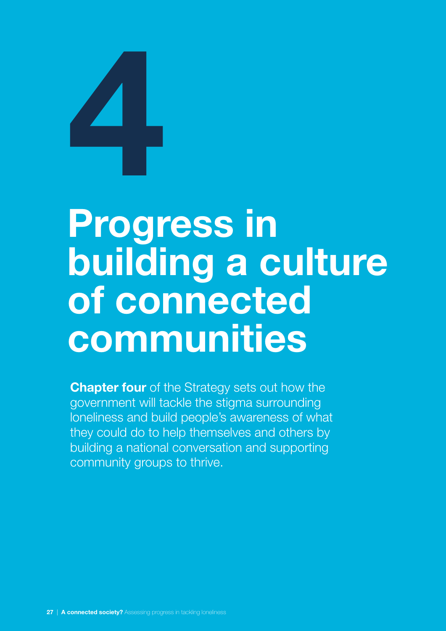# 4

# Progress in building a culture of connected communities

**Chapter four** of the Strategy sets out how the government will tackle the stigma surrounding loneliness and build people's awareness of what they could do to help themselves and others by building a national conversation and supporting community groups to thrive.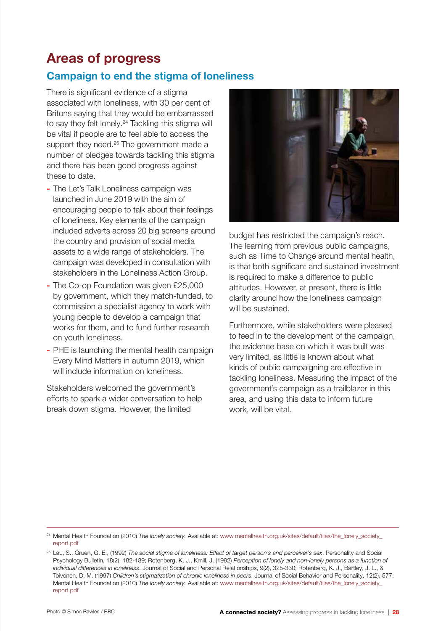#### Areas of progress

#### Campaign to end the stigma of loneliness

There is significant evidence of a stigma associated with loneliness, with 30 per cent of Britons saying that they would be embarrassed to say they felt lonely.<sup>24</sup> Tackling this stigma will be vital if people are to feel able to access the support they need.<sup>25</sup> The government made a number of pledges towards tackling this stigma and there has been good progress against these to date.

- The Let's Talk Loneliness campaign was launched in June 2019 with the aim of encouraging people to talk about their feelings of loneliness. Key elements of the campaign included adverts across 20 big screens around the country and provision of social media assets to a wide range of stakeholders. The campaign was developed in consultation with stakeholders in the Loneliness Action Group.
- The Co-op Foundation was given £25,000 by government, which they match-funded, to commission a specialist agency to work with young people to develop a campaign that works for them, and to fund further research on youth loneliness.
- PHE is launching the mental health campaign Every Mind Matters in autumn 2019, which will include information on loneliness.

Stakeholders welcomed the government's efforts to spark a wider conversation to help break down stigma. However, the limited



budget has restricted the campaign's reach. The learning from previous public campaigns, such as Time to Change around mental health, is that both significant and sustained investment is required to make a difference to public attitudes. However, at present, there is little clarity around how the loneliness campaign will be sustained.

Furthermore, while stakeholders were pleased to feed in to the development of the campaign, the evidence base on which it was built was very limited, as little is known about what kinds of public campaigning are effective in tackling loneliness. Measuring the impact of the government's campaign as a trailblazer in this area, and using this data to inform future work, will be vital.

<sup>&</sup>lt;sup>24</sup> Mental Health Foundation (2010) The lonely society. Available at: www.mentalhealth.org.uk/sites/default/files/the\_lonely\_society\_ report.pdf

<sup>&</sup>lt;sup>25</sup> Lau, S., Gruen, G. E., (1992) The social stigma of loneliness: Effect of target person's and perceiver's sex. Personality and Social Psychology Bulletin, 18(2), 182-189; Rotenberg, K. J., Kmill, J. (1992) Perception of lonely and non-lonely persons as a function of individual differences in loneliness. Journal of Social and Personal Relationships, 9(2), 325-330; Rotenberg, K. J., Bartley, J. L., & Toivonen, D. M. (1997) Children's stigmatization of chronic loneliness in peers. Journal of Social Behavior and Personality, 12(2), 577; Mental Health Foundation (2010) The lonely society. Available at: www.mentalhealth.org.uk/sites/default/files/the\_lonely\_society report.pdf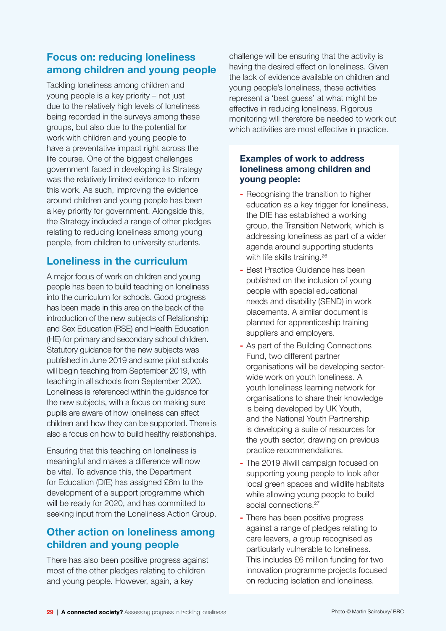#### Focus on: reducing loneliness among children and young people

Tackling loneliness among children and young people is a key priority – not just due to the relatively high levels of loneliness being recorded in the surveys among these groups, but also due to the potential for work with children and young people to have a preventative impact right across the life course. One of the biggest challenges government faced in developing its Strategy was the relatively limited evidence to inform this work. As such, improving the evidence around children and young people has been a key priority for government. Alongside this, the Strategy included a range of other pledges relating to reducing loneliness among young people, from children to university students.

#### Loneliness in the curriculum

A major focus of work on children and young people has been to build teaching on loneliness into the curriculum for schools. Good progress has been made in this area on the back of the introduction of the new subjects of Relationship and Sex Education (RSE) and Health Education (HE) for primary and secondary school children. Statutory guidance for the new subjects was published in June 2019 and some pilot schools will begin teaching from September 2019, with teaching in all schools from September 2020. Loneliness is referenced within the guidance for the new subjects, with a focus on making sure pupils are aware of how loneliness can affect children and how they can be supported. There is also a focus on how to build healthy relationships.

Ensuring that this teaching on loneliness is meaningful and makes a difference will now be vital. To advance this, the Department for Education (DfE) has assigned £6m to the development of a support programme which will be ready for 2020, and has committed to seeking input from the Loneliness Action Group.

#### Other action on loneliness among children and young people

There has also been positive progress against most of the other pledges relating to children and young people. However, again, a key

challenge will be ensuring that the activity is having the desired effect on loneliness. Given the lack of evidence available on children and young people's loneliness, these activities represent a 'best guess' at what might be effective in reducing loneliness. Rigorous monitoring will therefore be needed to work out which activities are most effective in practice.

#### Examples of work to address loneliness among children and young people:

- Recognising the transition to higher education as a key trigger for loneliness, the DfE has established a working group, the Transition Network, which is addressing loneliness as part of a wider agenda around supporting students with life skills training.<sup>26</sup>
- Best Practice Guidance has been published on the inclusion of young people with special educational needs and disability (SEND) in work placements. A similar document is planned for apprenticeship training suppliers and employers.
- As part of the Building Connections Fund, two different partner organisations will be developing sectorwide work on youth loneliness. A youth loneliness learning network for organisations to share their knowledge is being developed by UK Youth, and the National Youth Partnership is developing a suite of resources for the youth sector, drawing on previous practice recommendations.
- The 2019 #iwill campaign focused on supporting young people to look after local green spaces and wildlife habitats while allowing young people to build social connections.<sup>27</sup>
- There has been positive progress against a range of pledges relating to care leavers, a group recognised as particularly vulnerable to loneliness. This includes £6 million funding for two innovation programme projects focused on reducing isolation and loneliness.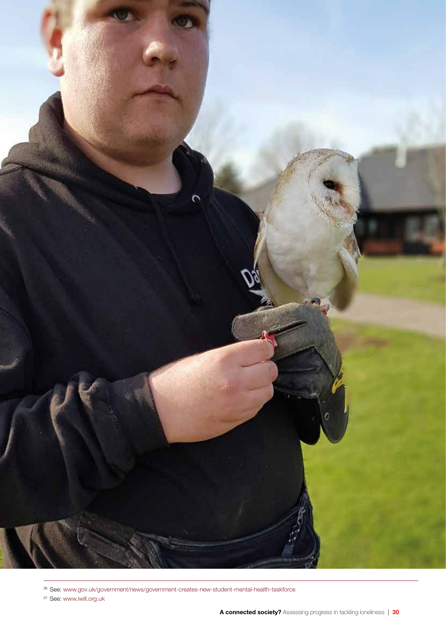

 $^{26}$  See: www.gov.uk/government/news/government-creates-new-student-mental-health-taskforce

<sup>27</sup> See: www.iwill.org.uk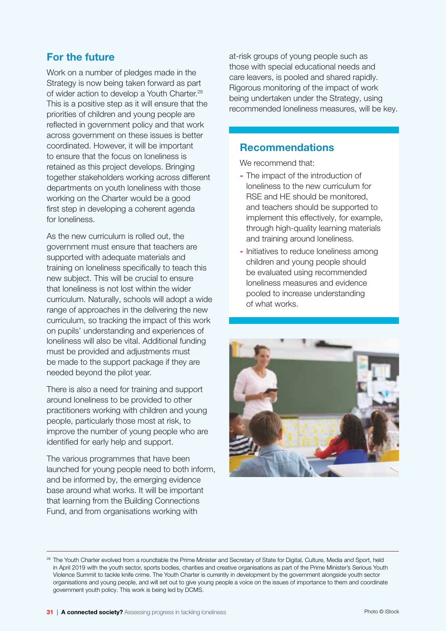#### For the future

Work on a number of pledges made in the Strategy is now being taken forward as part of wider action to develop a Youth Charter.28 This is a positive step as it will ensure that the priorities of children and young people are reflected in government policy and that work across government on these issues is better coordinated. However, it will be important to ensure that the focus on loneliness is retained as this project develops. Bringing together stakeholders working across different departments on youth loneliness with those working on the Charter would be a good first step in developing a coherent agenda for loneliness.

As the new curriculum is rolled out, the government must ensure that teachers are supported with adequate materials and training on loneliness specifically to teach this new subject. This will be crucial to ensure that loneliness is not lost within the wider curriculum. Naturally, schools will adopt a wide range of approaches in the delivering the new curriculum, so tracking the impact of this work on pupils' understanding and experiences of loneliness will also be vital. Additional funding must be provided and adjustments must be made to the support package if they are needed beyond the pilot year.

There is also a need for training and support around loneliness to be provided to other practitioners working with children and young people, particularly those most at risk, to improve the number of young people who are identified for early help and support.

The various programmes that have been launched for young people need to both inform, and be informed by, the emerging evidence base around what works. It will be important that learning from the Building Connections Fund, and from organisations working with

at-risk groups of young people such as those with special educational needs and care leavers, is pooled and shared rapidly. Rigorous monitoring of the impact of work being undertaken under the Strategy, using recommended loneliness measures, will be key.

#### Recommendations

We recommend that:

- The impact of the introduction of loneliness to the new curriculum for RSE and HE should be monitored, and teachers should be supported to implement this effectively, for example, through high-quality learning materials and training around loneliness.
- Initiatives to reduce loneliness among children and young people should be evaluated using recommended loneliness measures and evidence pooled to increase understanding of what works.



<sup>&</sup>lt;sup>28</sup> The Youth Charter evolved from a roundtable the Prime Minister and Secretary of State for Digital, Culture, Media and Sport, held in April 2019 with the youth sector, sports bodies, charities and creative organisations as part of the Prime Minister's Serious Youth Violence Summit to tackle knife crime. The Youth Charter is currently in development by the government alongside youth sector organisations and young people, and will set out to give young people a voice on the issues of importance to them and coordinate government youth policy. This work is being led by DCMS.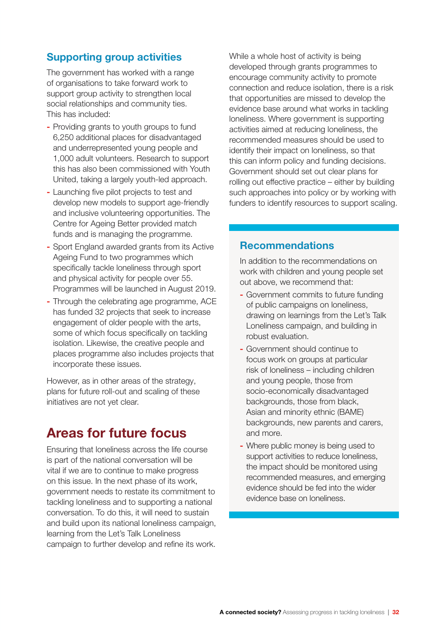#### Supporting group activities

The government has worked with a range of organisations to take forward work to support group activity to strengthen local social relationships and community ties. This has included:

- Providing grants to youth groups to fund 6,250 additional places for disadvantaged and underrepresented young people and 1,000 adult volunteers. Research to support this has also been commissioned with Youth United, taking a largely youth-led approach.
- Launching five pilot projects to test and develop new models to support age-friendly and inclusive volunteering opportunities. The Centre for Ageing Better provided match funds and is managing the programme.
- Sport England awarded grants from its Active Ageing Fund to two programmes which specifically tackle loneliness through sport and physical activity for people over 55. Programmes will be launched in August 2019.
- Through the celebrating age programme, ACE has funded 32 projects that seek to increase engagement of older people with the arts, some of which focus specifically on tackling isolation. Likewise, the creative people and places programme also includes projects that incorporate these issues.

However, as in other areas of the strategy, plans for future roll-out and scaling of these initiatives are not yet clear.

#### Areas for future focus

Ensuring that loneliness across the life course is part of the national conversation will be vital if we are to continue to make progress on this issue. In the next phase of its work, government needs to restate its commitment to tackling loneliness and to supporting a national conversation. To do this, it will need to sustain and build upon its national loneliness campaign, learning from the Let's Talk Loneliness campaign to further develop and refine its work.

While a whole host of activity is being developed through grants programmes to encourage community activity to promote connection and reduce isolation, there is a risk that opportunities are missed to develop the evidence base around what works in tackling loneliness. Where government is supporting activities aimed at reducing loneliness, the recommended measures should be used to identify their impact on loneliness, so that this can inform policy and funding decisions. Government should set out clear plans for rolling out effective practice – either by building such approaches into policy or by working with funders to identify resources to support scaling.

#### Recommendations

In addition to the recommendations on work with children and young people set out above, we recommend that:

- Government commits to future funding of public campaigns on loneliness, drawing on learnings from the Let's Talk Loneliness campaign, and building in robust evaluation.
- Government should continue to focus work on groups at particular risk of loneliness – including children and young people, those from socio-economically disadvantaged backgrounds, those from black, Asian and minority ethnic (BAME) backgrounds, new parents and carers, and more.
- Where public money is being used to support activities to reduce loneliness, the impact should be monitored using recommended measures, and emerging evidence should be fed into the wider evidence base on loneliness.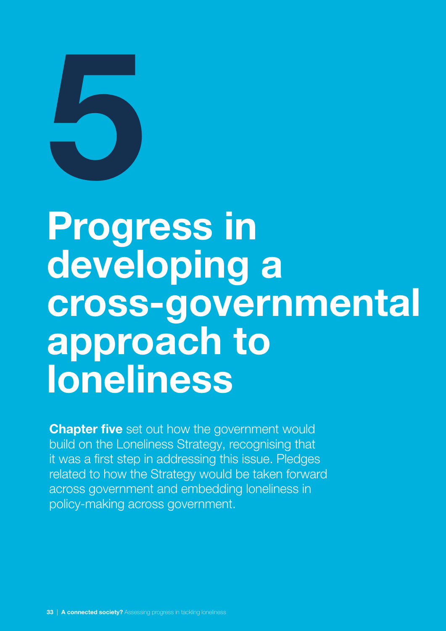

## Progress in developing a cross-governmental approach to loneliness

**Chapter five** set out how the government would build on the Loneliness Strategy, recognising that it was a first step in addressing this issue. Pledges related to how the Strategy would be taken forward across government and embedding loneliness in policy-making across government.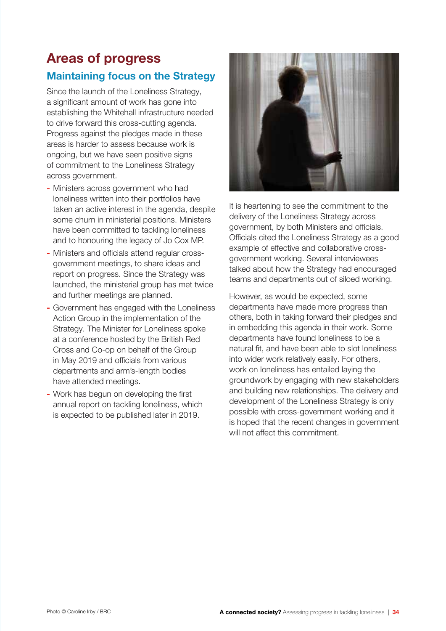#### Areas of progress

#### Maintaining focus on the Strategy

Since the launch of the Loneliness Strategy, a significant amount of work has gone into establishing the Whitehall infrastructure needed to drive forward this cross-cutting agenda. Progress against the pledges made in these areas is harder to assess because work is ongoing, but we have seen positive signs of commitment to the Loneliness Strategy across government.

- Ministers across government who had loneliness written into their portfolios have taken an active interest in the agenda, despite some churn in ministerial positions. Ministers have been committed to tackling loneliness and to honouring the legacy of Jo Cox MP.
- Ministers and officials attend regular crossgovernment meetings, to share ideas and report on progress. Since the Strategy was launched, the ministerial group has met twice and further meetings are planned.
- Government has engaged with the Loneliness Action Group in the implementation of the Strategy. The Minister for Loneliness spoke at a conference hosted by the British Red Cross and Co-op on behalf of the Group in May 2019 and officials from various departments and arm's-length bodies have attended meetings.
- Work has begun on developing the first annual report on tackling loneliness, which is expected to be published later in 2019.



It is heartening to see the commitment to the delivery of the Loneliness Strategy across government, by both Ministers and officials. Officials cited the Loneliness Strategy as a good example of effective and collaborative crossgovernment working. Several interviewees talked about how the Strategy had encouraged teams and departments out of siloed working.

However, as would be expected, some departments have made more progress than others, both in taking forward their pledges and in embedding this agenda in their work. Some departments have found loneliness to be a natural fit, and have been able to slot loneliness into wider work relatively easily. For others, work on loneliness has entailed laying the groundwork by engaging with new stakeholders and building new relationships. The delivery and development of the Loneliness Strategy is only possible with cross-government working and it is hoped that the recent changes in government will not affect this commitment.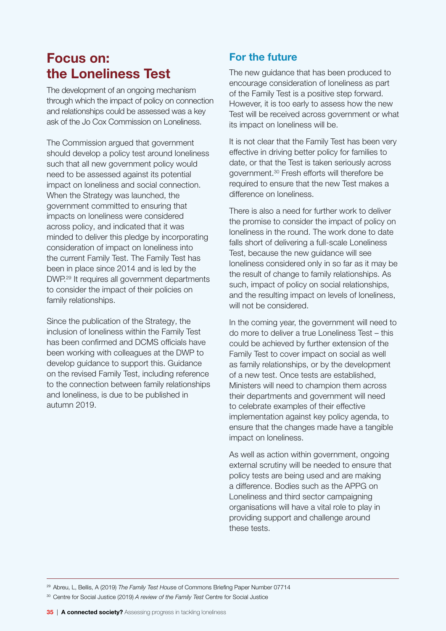#### Focus on: the Loneliness Test

The development of an ongoing mechanism through which the impact of policy on connection and relationships could be assessed was a key ask of the Jo Cox Commission on Loneliness.

The Commission argued that government should develop a policy test around loneliness such that all new government policy would need to be assessed against its potential impact on loneliness and social connection. When the Strategy was launched, the government committed to ensuring that impacts on loneliness were considered across policy, and indicated that it was minded to deliver this pledge by incorporating consideration of impact on loneliness into the current Family Test. The Family Test has been in place since 2014 and is led by the DWP.29 It requires all government departments to consider the impact of their policies on family relationships.

Since the publication of the Strategy, the inclusion of loneliness within the Family Test has been confirmed and DCMS officials have been working with colleagues at the DWP to develop guidance to support this. Guidance on the revised Family Test, including reference to the connection between family relationships and loneliness, is due to be published in autumn 2019.

#### For the future

The new guidance that has been produced to encourage consideration of loneliness as part of the Family Test is a positive step forward. However, it is too early to assess how the new Test will be received across government or what its impact on loneliness will be.

It is not clear that the Family Test has been very effective in driving better policy for families to date, or that the Test is taken seriously across government.30 Fresh efforts will therefore be required to ensure that the new Test makes a difference on loneliness.

There is also a need for further work to deliver the promise to consider the impact of policy on loneliness in the round. The work done to date falls short of delivering a full-scale Loneliness Test, because the new guidance will see loneliness considered only in so far as it may be the result of change to family relationships. As such, impact of policy on social relationships, and the resulting impact on levels of loneliness, will not be considered.

In the coming year, the government will need to do more to deliver a true Loneliness Test – this could be achieved by further extension of the Family Test to cover impact on social as well as family relationships, or by the development of a new test. Once tests are established, Ministers will need to champion them across their departments and government will need to celebrate examples of their effective implementation against key policy agenda, to ensure that the changes made have a tangible impact on loneliness.

As well as action within government, ongoing external scrutiny will be needed to ensure that policy tests are being used and are making a difference. Bodies such as the APPG on Loneliness and third sector campaigning organisations will have a vital role to play in providing support and challenge around these tests.

<sup>29</sup> Abreu, L, Bellis, A (2019) The Family Test House of Commons Briefing Paper Number 07714

<sup>&</sup>lt;sup>30</sup> Centre for Social Justice (2019) A review of the Family Test Centre for Social Justice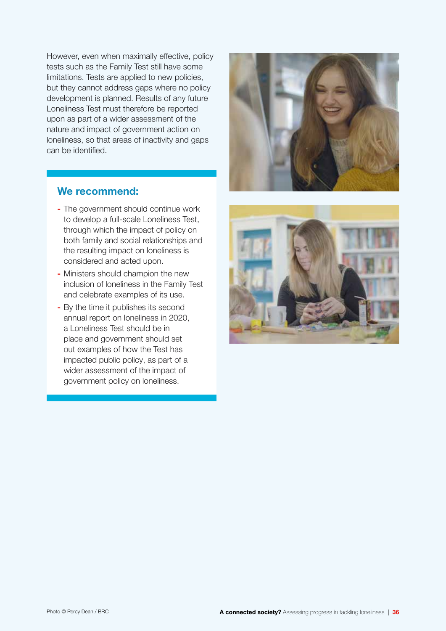However, even when maximally effective, policy tests such as the Family Test still have some limitations. Tests are applied to new policies, but they cannot address gaps where no policy development is planned. Results of any future Loneliness Test must therefore be reported upon as part of a wider assessment of the nature and impact of government action on loneliness, so that areas of inactivity and gaps can be identified.

#### We recommend:

- The government should continue work to develop a full-scale Loneliness Test, through which the impact of policy on both family and social relationships and the resulting impact on loneliness is considered and acted upon.
- Ministers should champion the new inclusion of loneliness in the Family Test and celebrate examples of its use.
- By the time it publishes its second annual report on loneliness in 2020, a Loneliness Test should be in place and government should set out examples of how the Test has impacted public policy, as part of a wider assessment of the impact of government policy on loneliness.



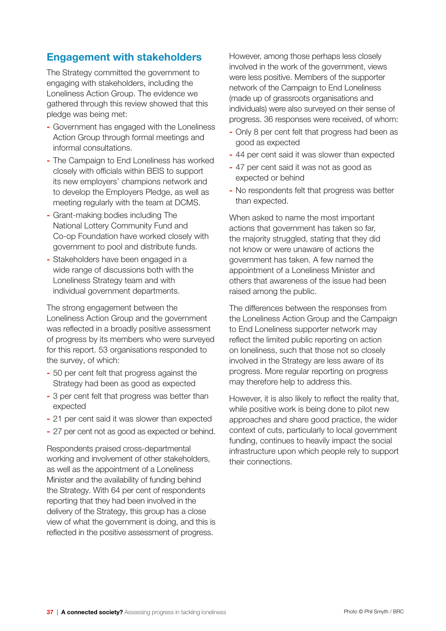#### Engagement with stakeholders

The Strategy committed the government to engaging with stakeholders, including the Loneliness Action Group. The evidence we gathered through this review showed that this pledge was being met:

- Government has engaged with the Loneliness Action Group through formal meetings and informal consultations.
- The Campaign to End Loneliness has worked closely with officials within BEIS to support its new employers' champions network and to develop the Employers Pledge, as well as meeting regularly with the team at DCMS.
- Grant-making bodies including The National Lottery Community Fund and Co-op Foundation have worked closely with government to pool and distribute funds.
- Stakeholders have been engaged in a wide range of discussions both with the Loneliness Strategy team and with individual government departments.

The strong engagement between the Loneliness Action Group and the government was reflected in a broadly positive assessment of progress by its members who were surveyed for this report. 53 organisations responded to the survey, of which:

- 50 per cent felt that progress against the Strategy had been as good as expected
- 3 per cent felt that progress was better than expected
- 21 per cent said it was slower than expected
- 27 per cent not as good as expected or behind.

Respondents praised cross-departmental working and involvement of other stakeholders, as well as the appointment of a Loneliness Minister and the availability of funding behind the Strategy. With 64 per cent of respondents reporting that they had been involved in the delivery of the Strategy, this group has a close view of what the government is doing, and this is reflected in the positive assessment of progress.

However, among those perhaps less closely involved in the work of the government, views were less positive. Members of the supporter network of the Campaign to End Loneliness (made up of grassroots organisations and individuals) were also surveyed on their sense of progress. 36 responses were received, of whom:

- Only 8 per cent felt that progress had been as good as expected
- 44 per cent said it was slower than expected
- 47 per cent said it was not as good as expected or behind
- No respondents felt that progress was better than expected.

When asked to name the most important actions that government has taken so far, the majority struggled, stating that they did not know or were unaware of actions the government has taken. A few named the appointment of a Loneliness Minister and others that awareness of the issue had been raised among the public.

The differences between the responses from the Loneliness Action Group and the Campaign to End Loneliness supporter network may reflect the limited public reporting on action on loneliness, such that those not so closely involved in the Strategy are less aware of its progress. More regular reporting on progress may therefore help to address this.

However, it is also likely to reflect the reality that, while positive work is being done to pilot new approaches and share good practice, the wider context of cuts, particularly to local government funding, continues to heavily impact the social infrastructure upon which people rely to support their connections.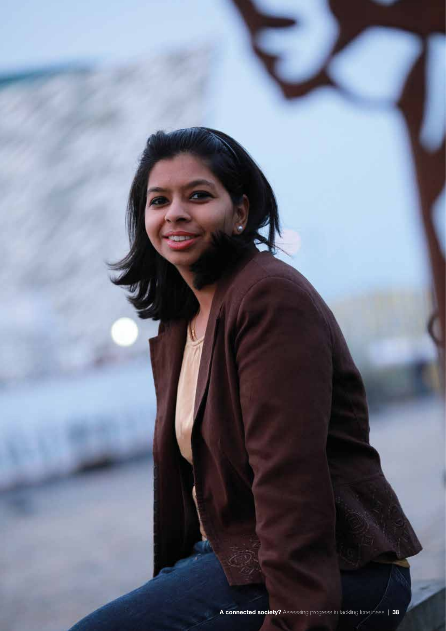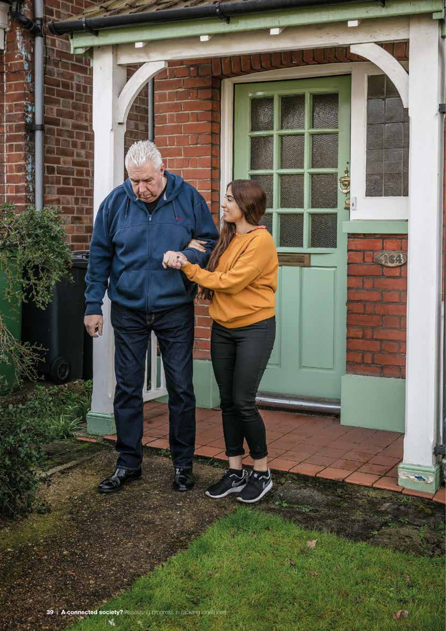

 $104014.$ 

1684

ä **Septe** 

大 にんきょう

z.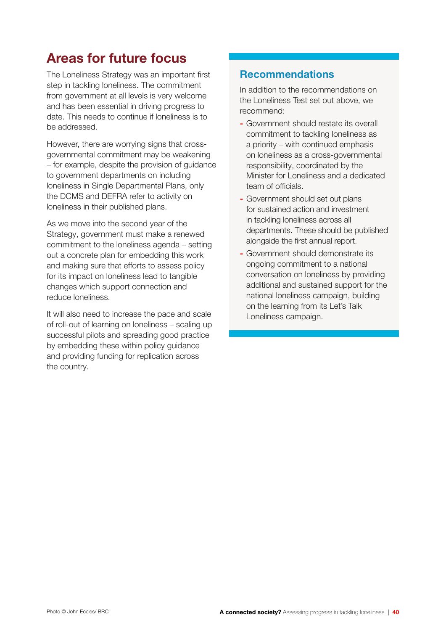#### Areas for future focus

The Loneliness Strategy was an important first step in tackling loneliness. The commitment from government at all levels is very welcome and has been essential in driving progress to date. This needs to continue if loneliness is to be addressed.

However, there are worrying signs that crossgovernmental commitment may be weakening – for example, despite the provision of guidance to government departments on including loneliness in Single Departmental Plans, only the DCMS and DEFRA refer to activity on loneliness in their published plans.

As we move into the second year of the Strategy, government must make a renewed commitment to the loneliness agenda – setting out a concrete plan for embedding this work and making sure that efforts to assess policy for its impact on loneliness lead to tangible changes which support connection and reduce loneliness.

It will also need to increase the pace and scale of roll-out of learning on loneliness – scaling up successful pilots and spreading good practice by embedding these within policy guidance and providing funding for replication across the country.

#### Recommendations

In addition to the recommendations on the Loneliness Test set out above, we recommend:

- Government should restate its overall commitment to tackling loneliness as a priority – with continued emphasis on loneliness as a cross-governmental responsibility, coordinated by the Minister for Loneliness and a dedicated team of officials.
- Government should set out plans for sustained action and investment in tackling loneliness across all departments. These should be published alongside the first annual report.
- Government should demonstrate its ongoing commitment to a national conversation on loneliness by providing additional and sustained support for the national loneliness campaign, building on the learning from its Let's Talk Loneliness campaign.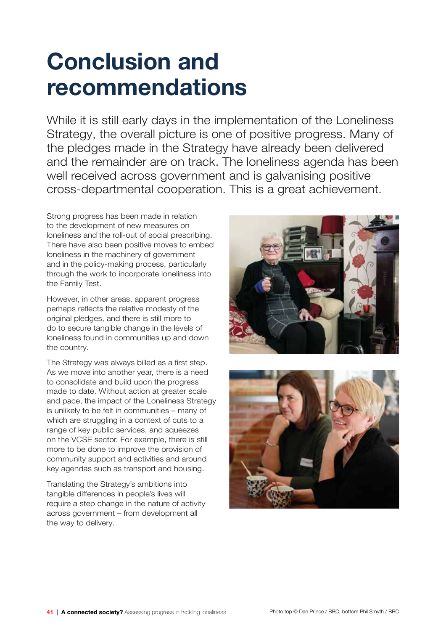## Conclusion and recommendations

While it is still early days in the implementation of the Loneliness Strategy, the overall picture is one of positive progress. Many of the pledges made in the Strategy have already been delivered and the remainder are on track. The loneliness agenda has been well received across government and is galvanising positive cross-departmental cooperation. This is a great achievement.

Strong progress has been made in relation to the development of new measures on loneliness and the roll-out of social prescribing. There have also been positive moves to embed loneliness in the machinery of government and in the policy-making process, particularly through the work to incorporate loneliness into the Family Test.

However, in other areas, apparent progress perhaps reflects the relative modesty of the original pledges, and there is still more to do to secure tangible change in the levels of loneliness found in communities up and down the country.

The Strategy was always billed as a first step. As we move into another year, there is a need to consolidate and build upon the progress made to date. Without action at greater scale and pace, the impact of the Loneliness Strategy is unlikely to be felt in communities – many of which are struggling in a context of cuts to a range of key public services, and squeezes on the VCSE sector. For example, there is still more to be done to improve the provision of community support and activities and around key agendas such as transport and housing.

Translating the Strategy's ambitions into tangible differences in people's lives will require a step change in the nature of activity across government – from development all the way to delivery.



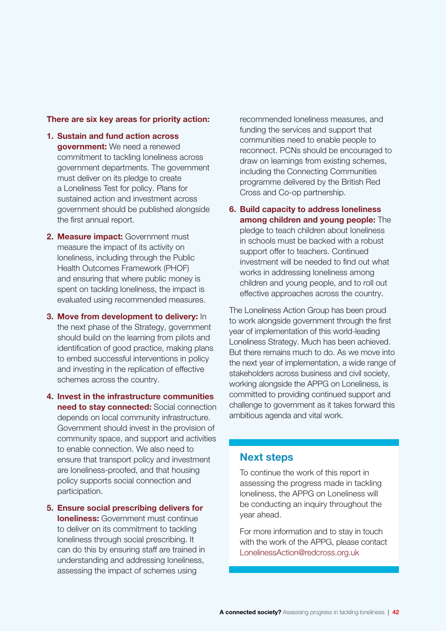#### There are six key areas for priority action:

- 1. Sustain and fund action across government: We need a renewed commitment to tackling loneliness across government departments. The government must deliver on its pledge to create a Loneliness Test for policy. Plans for sustained action and investment across government should be published alongside the first annual report.
- 2. Measure impact: Government must measure the impact of its activity on loneliness, including through the Public Health Outcomes Framework (PHOF) and ensuring that where public money is spent on tackling loneliness, the impact is evaluated using recommended measures.
- 3. Move from development to delivery: In the next phase of the Strategy, government should build on the learning from pilots and identification of good practice, making plans to embed successful interventions in policy and investing in the replication of effective schemes across the country.
- 4. Invest in the infrastructure communities need to stay connected: Social connection depends on local community infrastructure. Government should invest in the provision of community space, and support and activities to enable connection. We also need to ensure that transport policy and investment are loneliness-proofed, and that housing policy supports social connection and participation.
- 5. Ensure social prescribing delivers for **loneliness:** Government must continue to deliver on its commitment to tackling loneliness through social prescribing. It can do this by ensuring staff are trained in understanding and addressing loneliness, assessing the impact of schemes using

recommended loneliness measures, and funding the services and support that communities need to enable people to reconnect. PCNs should be encouraged to draw on learnings from existing schemes, including the Connecting Communities programme delivered by the British Red Cross and Co-op partnership.

6. Build capacity to address loneliness among children and young people: The pledge to teach children about loneliness in schools must be backed with a robust support offer to teachers. Continued investment will be needed to find out what works in addressing loneliness among children and young people, and to roll out effective approaches across the country.

The Loneliness Action Group has been proud to work alongside government through the first year of implementation of this world-leading Loneliness Strategy. Much has been achieved. But there remains much to do. As we move into the next year of implementation, a wide range of stakeholders across business and civil society, working alongside the APPG on Loneliness, is committed to providing continued support and challenge to government as it takes forward this ambitious agenda and vital work.

#### Next steps

To continue the work of this report in assessing the progress made in tackling loneliness, the APPG on Loneliness will be conducting an inquiry throughout the year ahead.

For more information and to stay in touch with the work of the APPG, please contact LonelinessAction@redcross.org.uk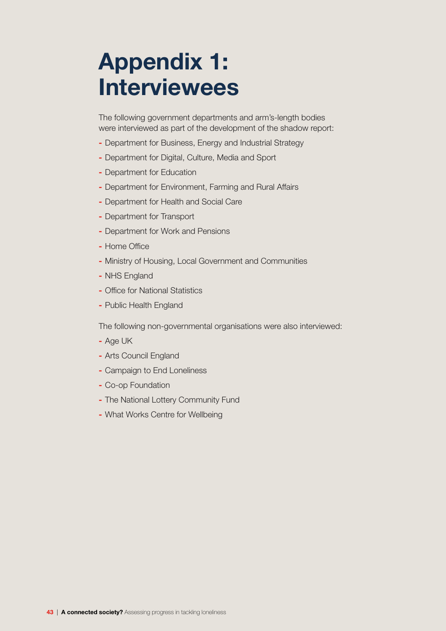### Appendix 1: Interviewees

The following government departments and arm's-length bodies were interviewed as part of the development of the shadow report:

- Department for Business, Energy and Industrial Strategy
- Department for Digital, Culture, Media and Sport
- Department for Education
- Department for Environment, Farming and Rural Affairs
- Department for Health and Social Care
- Department for Transport
- Department for Work and Pensions
- Home Office
- Ministry of Housing, Local Government and Communities
- NHS England
- Office for National Statistics
- Public Health England

The following non-governmental organisations were also interviewed:

- Age UK
- Arts Council England
- Campaign to End Loneliness
- Co-op Foundation
- The National Lottery Community Fund
- What Works Centre for Wellbeing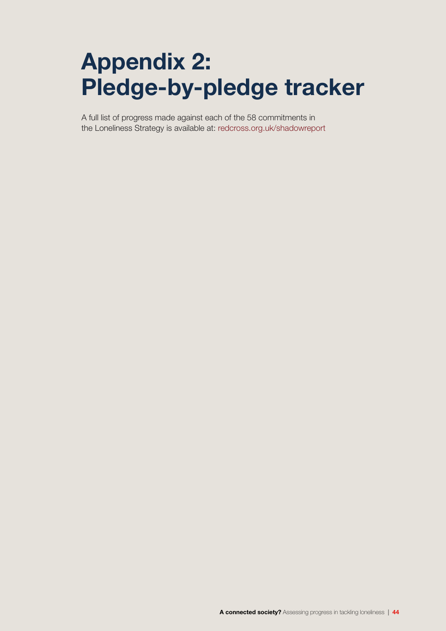## Appendix 2: Pledge-by-pledge tracker

A full list of progress made against each of the 58 commitments in the Loneliness Strategy is available at: redcross.org.uk/shadowreport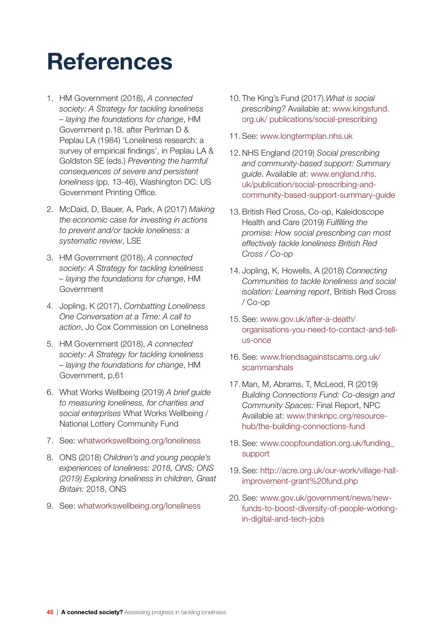## References

- 1. HM Government (2018), A connected society: A Strategy for tackling loneliness – laying the foundations for change, HM Government p.18, after Perlman D & Peplau LA (1984) 'Loneliness research: a survey of empirical findings', in Peplau LA & Goldston SE (eds.) Preventing the harmful consequences of severe and persistent loneliness (pp. 13-46), Washington DC: US Government Printing Office.
- 2. McDaid, D, Bauer, A, Park, A (2017) Making the economic case for investing in actions to prevent and/or tackle loneliness: a systematic review, LSE
- 3. HM Government (2018), A connected society: A Strategy for tackling loneliness – laying the foundations for change, HM **Government**
- 4. Jopling, K (2017), Combatting Loneliness One Conversation at a Time: A call to action, Jo Cox Commission on Loneliness
- 5. HM Government (2018), A connected society: A Strategy for tackling loneliness – laying the foundations for change, HM Government, p.61
- 6. What Works Wellbeing (2019) A brief guide to measuring loneliness, for charities and social enterprises What Works Wellbeing / National Lottery Community Fund
- 7. See: whatworkswellbeing.org/loneliness
- 8. ONS (2018) Children's and young people's experiences of loneliness: 2018, ONS; ONS (2019) Exploring loneliness in children, Great Britain: 2018, ONS
- 9. See: whatworkswellbeing.org/loneliness
- 10. The King's Fund (2017).What is social prescribing? Available at: www.kingsfund. org.uk/ publications/social-prescribing
- 11.See: www.longtermplan.nhs.uk
- 12. NHS England (2019) Social prescribing and community-based support: Summary guide. Available at: www.england.nhs. uk/publication/social-prescribing-andcommunity-based-support-summary-guide
- 13.British Red Cross, Co-op, Kaleidoscope Health and Care (2019) Fulfilling the promise: How social prescribing can most effectively tackle loneliness British Red Cross / Co-op
- 14. Jopling, K, Howells, A (2018) Connecting Communities to tackle loneliness and social isolation: Learning report, British Red Cross / Co-op
- 15.See: www.gov.uk/after-a-death/ organisations-you-need-to-contact-and-tellus-once
- 16.See: www.friendsagainstscams.org.uk/ scammarshals
- 17. Man, M, Abrams, T, McLeod, R (2019) Building Connections Fund: Co-design and Community Spaces: Final Report, NPC Available at: www.thinknpc.org/resourcehub/the-building-connections-fund
- 18.See: www.coopfoundation.org.uk/funding\_ support
- 19.See: http://acre.org.uk/our-work/village-hallimprovement-grant%20fund.php
- 20.See: www.gov.uk/government/news/newfunds-to-boost-diversity-of-people-workingin-digital-and-tech-jobs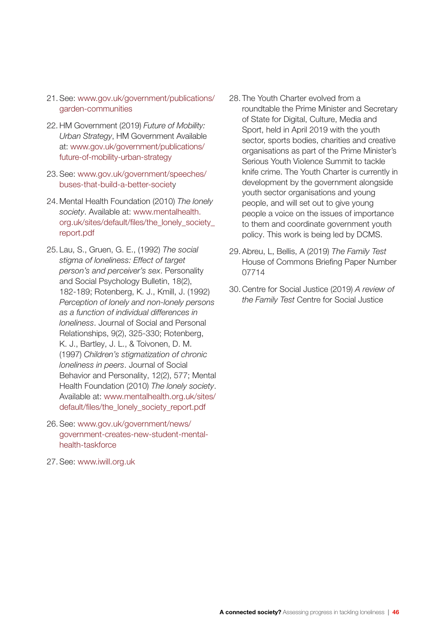- 21.See: www.gov.uk/government/publications/ garden-communities
- 22. HM Government (2019) Future of Mobility: Urban Strategy, HM Government Available at: www.gov.uk/government/publications/ future-of-mobility-urban-strategy
- 23.See: www.gov.uk/government/speeches/ buses-that-build-a-better-society
- 24. Mental Health Foundation (2010) The lonely society. Available at: www.mentalhealth. org.uk/sites/default/files/the\_lonely\_society\_ report.pdf
- 25. Lau, S., Gruen, G. E., (1992) The social stigma of loneliness: Effect of target person's and perceiver's sex. Personality and Social Psychology Bulletin, 18(2), 182-189; Rotenberg, K. J., Kmill, J. (1992) Perception of lonely and non-lonely persons as a function of individual differences in loneliness. Journal of Social and Personal Relationships, 9(2), 325-330; Rotenberg, K. J., Bartley, J. L., & Toivonen, D. M. (1997) Children's stigmatization of chronic loneliness in peers. Journal of Social Behavior and Personality, 12(2), 577; Mental Health Foundation (2010) The lonely society. Available at: www.mentalhealth.org.uk/sites/ default/files/the\_lonely\_society\_report.pdf
- 26.See: www.gov.uk/government/news/ government-creates-new-student-mentalhealth-taskforce
- 27.See: www.iwill.org.uk
- 28. The Youth Charter evolved from a roundtable the Prime Minister and Secretary of State for Digital, Culture, Media and Sport, held in April 2019 with the youth sector, sports bodies, charities and creative organisations as part of the Prime Minister's Serious Youth Violence Summit to tackle knife crime. The Youth Charter is currently in development by the government alongside youth sector organisations and young people, and will set out to give young people a voice on the issues of importance to them and coordinate government youth policy. This work is being led by DCMS.
- 29.Abreu, L, Bellis, A (2019) The Family Test House of Commons Briefing Paper Number 07714
- 30. Centre for Social Justice (2019) A review of the Family Test Centre for Social Justice